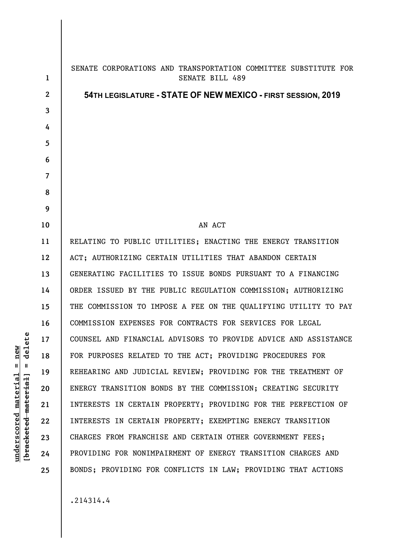**1 2 3 4 5 6 7 8 9 10 11 12 13 14 15 16 17 18 19 20 21 22 23 24 25**  SENATE CORPORATIONS AND TRANSPORTATION COMMITTEE SUBSTITUTE FOR SENATE BILL 489 **54TH LEGISLATURE - STATE OF NEW MEXICO - FIRST SESSION, 2019** AN ACT RELATING TO PUBLIC UTILITIES; ENACTING THE ENERGY TRANSITION ACT; AUTHORIZING CERTAIN UTILITIES THAT ABANDON CERTAIN GENERATING FACILITIES TO ISSUE BONDS PURSUANT TO A FINANCING ORDER ISSUED BY THE PUBLIC REGULATION COMMISSION; AUTHORIZING THE COMMISSION TO IMPOSE A FEE ON THE QUALIFYING UTILITY TO PAY COMMISSION EXPENSES FOR CONTRACTS FOR SERVICES FOR LEGAL COUNSEL AND FINANCIAL ADVISORS TO PROVIDE ADVICE AND ASSISTANCE FOR PURPOSES RELATED TO THE ACT; PROVIDING PROCEDURES FOR REHEARING AND JUDICIAL REVIEW; PROVIDING FOR THE TREATMENT OF ENERGY TRANSITION BONDS BY THE COMMISSION; CREATING SECURITY INTERESTS IN CERTAIN PROPERTY; PROVIDING FOR THE PERFECTION OF INTERESTS IN CERTAIN PROPERTY; EXEMPTING ENERGY TRANSITION CHARGES FROM FRANCHISE AND CERTAIN OTHER GOVERNMENT FEES; PROVIDING FOR NONIMPAIRMENT OF ENERGY TRANSITION CHARGES AND BONDS; PROVIDING FOR CONFLICTS IN LAW; PROVIDING THAT ACTIONS

.214314.4

delete **[bracketed material] = delete**  $underscored material = new$ **underscored material = new**  $\mathbf{I}$ bracketed material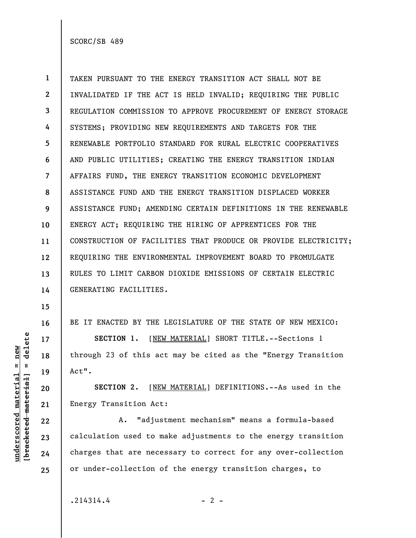**1 2 3 4 5 6 7 8 9 10 11 12 13 14**  TAKEN PURSUANT TO THE ENERGY TRANSITION ACT SHALL NOT BE INVALIDATED IF THE ACT IS HELD INVALID; REQUIRING THE PUBLIC REGULATION COMMISSION TO APPROVE PROCUREMENT OF ENERGY STORAGE SYSTEMS; PROVIDING NEW REQUIREMENTS AND TARGETS FOR THE RENEWABLE PORTFOLIO STANDARD FOR RURAL ELECTRIC COOPERATIVES AND PUBLIC UTILITIES; CREATING THE ENERGY TRANSITION INDIAN AFFAIRS FUND, THE ENERGY TRANSITION ECONOMIC DEVELOPMENT ASSISTANCE FUND AND THE ENERGY TRANSITION DISPLACED WORKER ASSISTANCE FUND; AMENDING CERTAIN DEFINITIONS IN THE RENEWABLE ENERGY ACT; REQUIRING THE HIRING OF APPRENTICES FOR THE CONSTRUCTION OF FACILITIES THAT PRODUCE OR PROVIDE ELECTRICITY; REQUIRING THE ENVIRONMENTAL IMPROVEMENT BOARD TO PROMULGATE RULES TO LIMIT CARBON DIOXIDE EMISSIONS OF CERTAIN ELECTRIC GENERATING FACILITIES.

BE IT ENACTED BY THE LEGISLATURE OF THE STATE OF NEW MEXICO:

**SECTION 1.** [NEW MATERIAL] SHORT TITLE.--Sections 1 through 23 of this act may be cited as the "Energy Transition Act".

**SECTION 2.** [NEW MATERIAL] DEFINITIONS.--As used in the Energy Transition Act:

A. "adjustment mechanism" means a formula-based calculation used to make adjustments to the energy transition charges that are necessary to correct for any over-collection or under-collection of the energy transition charges, to

 $.214314.4$  - 2 -

delete **[bracketed material] = delete**  $underscored material = new$ **underscored material = new**  $\mathbf{u}$ bracketed material] **15** 

**16** 

**17** 

**18** 

**19** 

**20** 

**21** 

**22** 

**23** 

**24**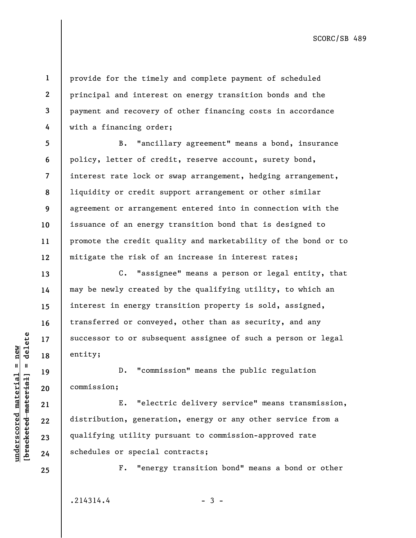provide for the timely and complete payment of scheduled principal and interest on energy transition bonds and the payment and recovery of other financing costs in accordance with a financing order;

**5 6 7 8 9 10 11 12**  B. "ancillary agreement" means a bond, insurance policy, letter of credit, reserve account, surety bond, interest rate lock or swap arrangement, hedging arrangement, liquidity or credit support arrangement or other similar agreement or arrangement entered into in connection with the issuance of an energy transition bond that is designed to promote the credit quality and marketability of the bond or to mitigate the risk of an increase in interest rates;

C. "assignee" means a person or legal entity, that may be newly created by the qualifying utility, to which an interest in energy transition property is sold, assigned, transferred or conveyed, other than as security, and any successor to or subsequent assignee of such a person or legal entity;

D. "commission" means the public regulation commission;

E. "electric delivery service" means transmission, distribution, generation, energy or any other service from a qualifying utility pursuant to commission-approved rate schedules or special contracts;

F. "energy transition bond" means a bond or other

 $.214314.4$  - 3 -

 $b$ racketed material] = delete **[bracketed material] = delete**  $underscored material = new$ **underscored material = new**

**19** 

**20** 

**21** 

**22** 

**23** 

**24** 

**25** 

**13** 

**1** 

**2** 

**3**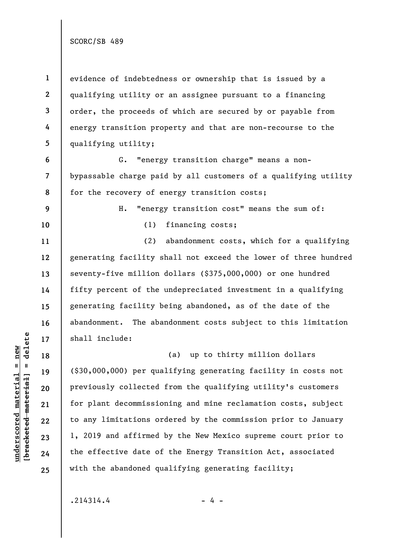**1 2 3 4 5**  evidence of indebtedness or ownership that is issued by a qualifying utility or an assignee pursuant to a financing order, the proceeds of which are secured by or payable from energy transition property and that are non-recourse to the qualifying utility;

**6 7 8**  G. "energy transition charge" means a nonbypassable charge paid by all customers of a qualifying utility for the recovery of energy transition costs;

H. "energy transition cost" means the sum of:

(1) financing costs;

(2) abandonment costs, which for a qualifying generating facility shall not exceed the lower of three hundred seventy-five million dollars (\$375,000,000) or one hundred fifty percent of the undepreciated investment in a qualifying generating facility being abandoned, as of the date of the abandonment. The abandonment costs subject to this limitation shall include:

(a) up to thirty million dollars (\$30,000,000) per qualifying generating facility in costs not previously collected from the qualifying utility's customers for plant decommissioning and mine reclamation costs, subject to any limitations ordered by the commission prior to January 1, 2019 and affirmed by the New Mexico supreme court prior to the effective date of the Energy Transition Act, associated with the abandoned qualifying generating facility;

 $.214314.4$  - 4 -

 $b$ racketed material] = delete **[bracketed material] = delete**  $underscored material = new$ **underscored material = new**

**9** 

**10** 

**11** 

**12** 

**13** 

**14** 

**15** 

**16** 

**17** 

**18** 

**19** 

**20** 

**21** 

**22** 

**23** 

**24**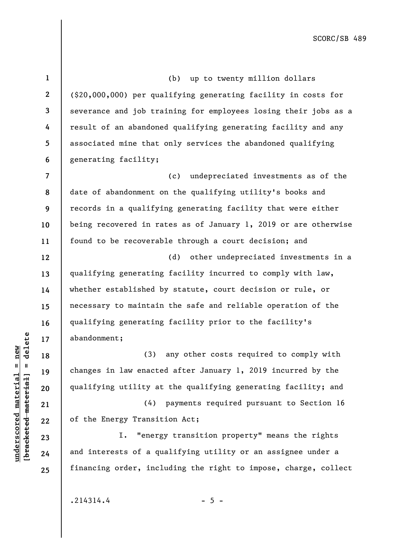**1 2 3 4 5 6 7 8 9 10 11 12 13 14 15 16 17 18 19 20 21 22 23 24 25**  (b) up to twenty million dollars (\$20,000,000) per qualifying generating facility in costs for severance and job training for employees losing their jobs as a result of an abandoned qualifying generating facility and any associated mine that only services the abandoned qualifying generating facility; (c) undepreciated investments as of the date of abandonment on the qualifying utility's books and records in a qualifying generating facility that were either being recovered in rates as of January 1, 2019 or are otherwise found to be recoverable through a court decision; and (d) other undepreciated investments in a qualifying generating facility incurred to comply with law, whether established by statute, court decision or rule, or necessary to maintain the safe and reliable operation of the qualifying generating facility prior to the facility's abandonment; (3) any other costs required to comply with changes in law enacted after January 1, 2019 incurred by the qualifying utility at the qualifying generating facility; and (4) payments required pursuant to Section 16 of the Energy Transition Act; I. "energy transition property" means the rights and interests of a qualifying utility or an assignee under a financing order, including the right to impose, charge, collect

 $.214314.4$  - 5 -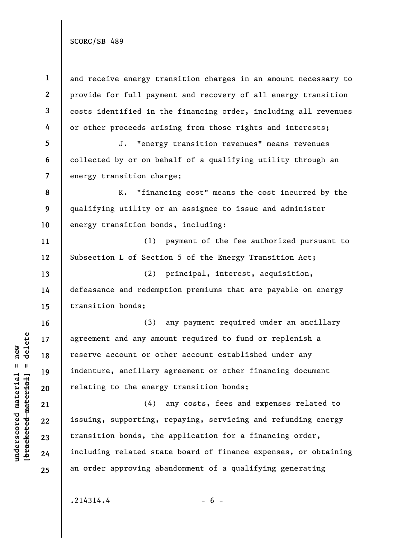**1 2 3 4 5 6 7 8 9 10 11 12 13 14 15 16 17 18 19 20 21 22 23 24 25**  and receive energy transition charges in an amount necessary to provide for full payment and recovery of all energy transition costs identified in the financing order, including all revenues or other proceeds arising from those rights and interests; J. "energy transition revenues" means revenues collected by or on behalf of a qualifying utility through an energy transition charge; K. "financing cost" means the cost incurred by the qualifying utility or an assignee to issue and administer energy transition bonds, including: (1) payment of the fee authorized pursuant to Subsection L of Section 5 of the Energy Transition Act; (2) principal, interest, acquisition, defeasance and redemption premiums that are payable on energy transition bonds; (3) any payment required under an ancillary agreement and any amount required to fund or replenish a reserve account or other account established under any indenture, ancillary agreement or other financing document relating to the energy transition bonds; (4) any costs, fees and expenses related to issuing, supporting, repaying, servicing and refunding energy transition bonds, the application for a financing order, including related state board of finance expenses, or obtaining an order approving abandonment of a qualifying generating

 $.214314.4$  - 6 -

 $b$ racketed material] = delete **[bracketed material] = delete**  $underscored material = new$ **underscored material = new**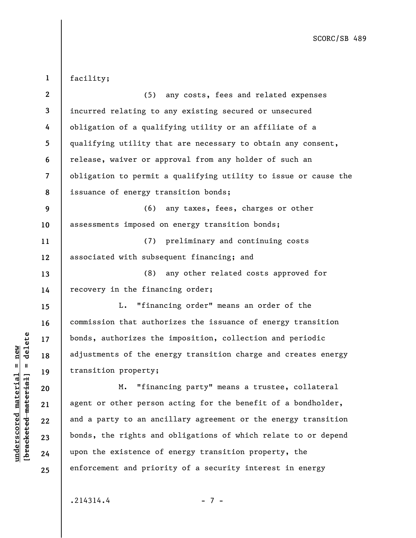| $\mathbf{1}$ | facility;                                                       |
|--------------|-----------------------------------------------------------------|
| $\mathbf{2}$ | (5)<br>any costs, fees and related expenses                     |
| 3            | incurred relating to any existing secured or unsecured          |
| 4            | obligation of a qualifying utility or an affiliate of a         |
| 5            | qualifying utility that are necessary to obtain any consent,    |
| 6            | release, waiver or approval from any holder of such an          |
| 7            | obligation to permit a qualifying utility to issue or cause the |
| 8            | issuance of energy transition bonds;                            |
| 9            | (6)<br>any taxes, fees, charges or other                        |
| 10           | assessments imposed on energy transition bonds;                 |
| 11           | (7) preliminary and continuing costs                            |
| 12           | associated with subsequent financing; and                       |
| 13           | any other related costs approved for<br>(8)                     |
| 14           | recovery in the financing order;                                |
| 15           | "financing order" means an order of the<br>L.                   |
| 16           | commission that authorizes the issuance of energy transition    |
| 17           | bonds, authorizes the imposition, collection and periodic       |
| 18           | adjustments of the energy transition charge and creates energy  |
| 19           | transition property;                                            |
| 20           | "financing party" means a trustee, collateral<br>М.             |
| 21           | agent or other person acting for the benefit of a bondholder,   |
| 22           | and a party to an ancillary agreement or the energy transition  |
| 23           | bonds, the rights and obligations of which relate to or depend  |
| 24           | upon the existence of energy transition property, the           |
| 25           | enforcement and priority of a security interest in energy       |

 $.214314.4$  - 7 -

**underscored material = new [bracketed material] = delete**

 $[bracketeed-material] = delete$  $underscored material = new$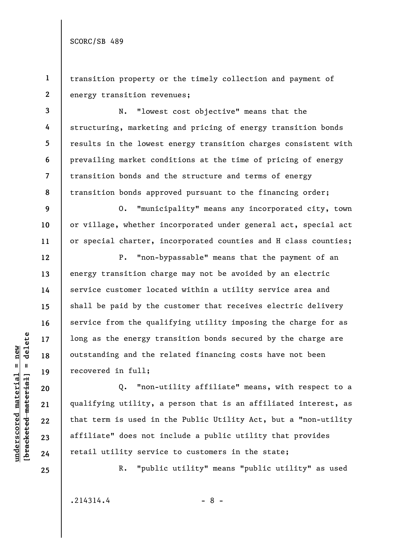**1 2**  transition property or the timely collection and payment of energy transition revenues;

**3 4 5 7 8**  N. "lowest cost objective" means that the structuring, marketing and pricing of energy transition bonds results in the lowest energy transition charges consistent with prevailing market conditions at the time of pricing of energy transition bonds and the structure and terms of energy transition bonds approved pursuant to the financing order;

O. "municipality" means any incorporated city, town or village, whether incorporated under general act, special act or special charter, incorporated counties and H class counties;

P. "non-bypassable" means that the payment of an energy transition charge may not be avoided by an electric service customer located within a utility service area and shall be paid by the customer that receives electric delivery service from the qualifying utility imposing the charge for as long as the energy transition bonds secured by the charge are outstanding and the related financing costs have not been recovered in full;

Q. "non-utility affiliate" means, with respect to a qualifying utility, a person that is an affiliated interest, as that term is used in the Public Utility Act, but a "non-utility affiliate" does not include a public utility that provides retail utility service to customers in the state;

**25** 

**6** 

**9** 

**10** 

**11** 

**12** 

**13** 

**14** 

**15** 

**16** 

**17** 

**18** 

**19** 

**20** 

**21** 

**22** 

**23** 

**24** 

R. "public utility" means "public utility" as used

 $.214314.4$  - 8 -

 $b$ racketed material] = delete **[bracketed material] = delete**  $underscored material = new$ **underscored material = new**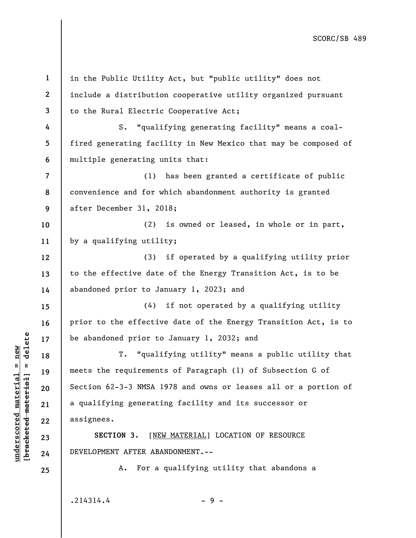**1 2 3 4 5 6 7 8 9 10 11 12 13 14 15 16 17 18 19 20 21 22 23 24 25**  in the Public Utility Act, but "public utility" does not include a distribution cooperative utility organized pursuant to the Rural Electric Cooperative Act; S. "qualifying generating facility" means a coalfired generating facility in New Mexico that may be composed of multiple generating units that: (1) has been granted a certificate of public convenience and for which abandonment authority is granted after December 31, 2018; (2) is owned or leased, in whole or in part, by a qualifying utility; (3) if operated by a qualifying utility prior to the effective date of the Energy Transition Act, is to be abandoned prior to January 1, 2023; and (4) if not operated by a qualifying utility prior to the effective date of the Energy Transition Act, is to be abandoned prior to January 1, 2032; and T. "qualifying utility" means a public utility that meets the requirements of Paragraph (1) of Subsection G of Section 62-3-3 NMSA 1978 and owns or leases all or a portion of a qualifying generating facility and its successor or assignees. **SECTION 3.** [NEW MATERIAL] LOCATION OF RESOURCE DEVELOPMENT AFTER ABANDONMENT.-- A. For a qualifying utility that abandons a

 $\frac{1}{2}$  intereted material = delete **[bracketed material] = delete**  $underscored material = new$ **underscored material = new**

 $.214314.4$  - 9 -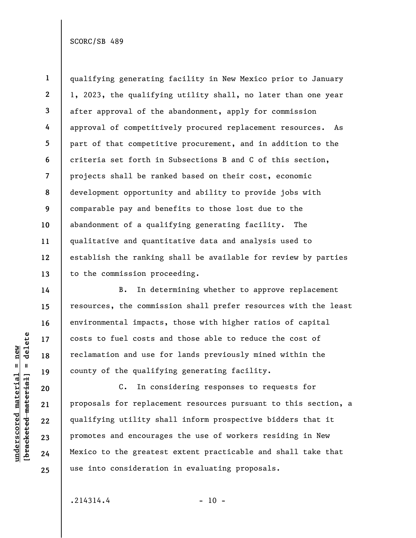**18** 

**19** 

**20** 

**21** 

**22** 

**23** 

**24** 

**25** 

**underscored material = new [bracketed material] = delete**

 $underscored material = new$ 

delete

 $\mathbf{I}$ 

bracketed material

**1**  qualifying generating facility in New Mexico prior to January 1, 2023, the qualifying utility shall, no later than one year after approval of the abandonment, apply for commission approval of competitively procured replacement resources. As part of that competitive procurement, and in addition to the criteria set forth in Subsections B and C of this section, projects shall be ranked based on their cost, economic development opportunity and ability to provide jobs with comparable pay and benefits to those lost due to the abandonment of a qualifying generating facility. The qualitative and quantitative data and analysis used to establish the ranking shall be available for review by parties to the commission proceeding.

B. In determining whether to approve replacement resources, the commission shall prefer resources with the least environmental impacts, those with higher ratios of capital costs to fuel costs and those able to reduce the cost of reclamation and use for lands previously mined within the county of the qualifying generating facility.

C. In considering responses to requests for proposals for replacement resources pursuant to this section, a qualifying utility shall inform prospective bidders that it promotes and encourages the use of workers residing in New Mexico to the greatest extent practicable and shall take that use into consideration in evaluating proposals.

 $.214314.4$  - 10 -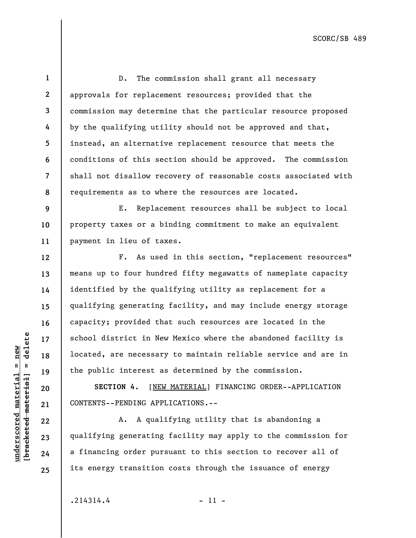**8**  D. The commission shall grant all necessary approvals for replacement resources; provided that the commission may determine that the particular resource proposed by the qualifying utility should not be approved and that, instead, an alternative replacement resource that meets the conditions of this section should be approved. The commission shall not disallow recovery of reasonable costs associated with requirements as to where the resources are located.

**9 10 11**  E. Replacement resources shall be subject to local property taxes or a binding commitment to make an equivalent payment in lieu of taxes.

F. As used in this section, "replacement resources" means up to four hundred fifty megawatts of nameplate capacity identified by the qualifying utility as replacement for a qualifying generating facility, and may include energy storage capacity; provided that such resources are located in the school district in New Mexico where the abandoned facility is located, are necessary to maintain reliable service and are in the public interest as determined by the commission.

**SECTION 4.** [NEW MATERIAL] FINANCING ORDER--APPLICATION CONTENTS--PENDING APPLICATIONS.--

A. A qualifying utility that is abandoning a qualifying generating facility may apply to the commission for a financing order pursuant to this section to recover all of its energy transition costs through the issuance of energy

 $.214314.4$  - 11 -

 $b$ racketed material] = delete **[bracketed material] = delete**  $underscored material = new$ **underscored material = new**

**1** 

**2** 

**3** 

**4** 

**5** 

**6** 

**7** 

**12** 

**13** 

**14** 

**15** 

**16** 

**17** 

**18** 

**19** 

**20** 

**21** 

**22** 

**23** 

**24**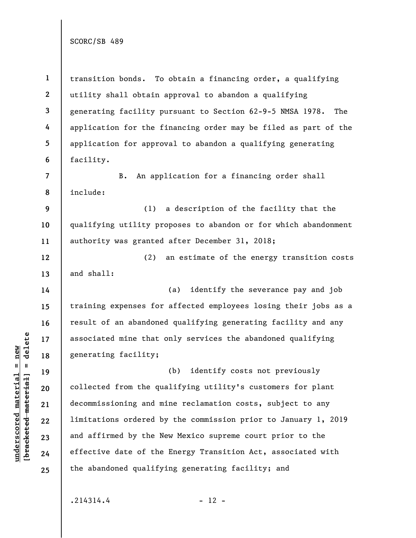**1 2 3 4 5 6 7 8 9 10 11 12 13 14 15 16 17 18 19 20 21 22 23 24**  transition bonds. To obtain a financing order, a qualifying utility shall obtain approval to abandon a qualifying generating facility pursuant to Section 62-9-5 NMSA 1978. The application for the financing order may be filed as part of the application for approval to abandon a qualifying generating facility. B. An application for a financing order shall include: (1) a description of the facility that the qualifying utility proposes to abandon or for which abandonment authority was granted after December 31, 2018; (2) an estimate of the energy transition costs and shall: (a) identify the severance pay and job training expenses for affected employees losing their jobs as a result of an abandoned qualifying generating facility and any associated mine that only services the abandoned qualifying generating facility; (b) identify costs not previously collected from the qualifying utility's customers for plant decommissioning and mine reclamation costs, subject to any limitations ordered by the commission prior to January 1, 2019 and affirmed by the New Mexico supreme court prior to the effective date of the Energy Transition Act, associated with the abandoned qualifying generating facility; and

 $.214314.4$  - 12 -

**underscored material = new [bracketed material] = delete**

 $b$ racketed material] = delete  $underscored material = new$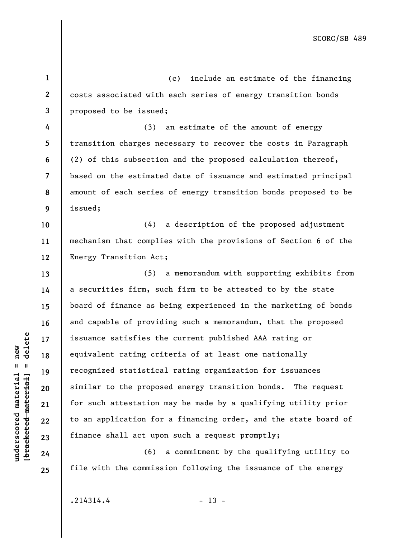**1 2 3 4 5 6 7 8 9 10 11 12 13 14 15 16 17 18 19 20 21 22 23 24 25**  (c) include an estimate of the financing costs associated with each series of energy transition bonds proposed to be issued; (3) an estimate of the amount of energy transition charges necessary to recover the costs in Paragraph (2) of this subsection and the proposed calculation thereof, based on the estimated date of issuance and estimated principal amount of each series of energy transition bonds proposed to be issued; (4) a description of the proposed adjustment mechanism that complies with the provisions of Section 6 of the Energy Transition Act; (5) a memorandum with supporting exhibits from a securities firm, such firm to be attested to by the state board of finance as being experienced in the marketing of bonds and capable of providing such a memorandum, that the proposed issuance satisfies the current published AAA rating or equivalent rating criteria of at least one nationally recognized statistical rating organization for issuances similar to the proposed energy transition bonds. The request for such attestation may be made by a qualifying utility prior to an application for a financing order, and the state board of finance shall act upon such a request promptly; (6) a commitment by the qualifying utility to file with the commission following the issuance of the energy

 $.214314.4$  - 13 -

**underscored material = new [bracketed material] = delete**

 $b$ racketed material] = delete  $underscored material = new$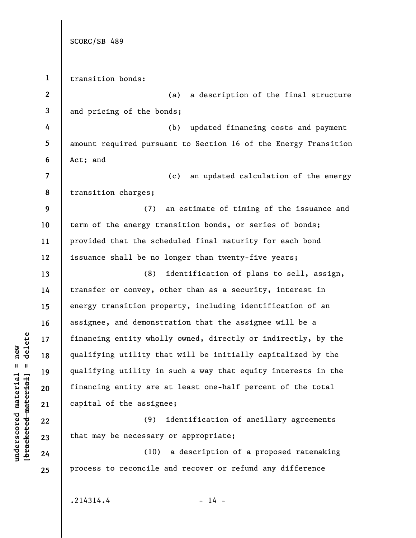|                          | SCORC/SB 489                                                    |
|--------------------------|-----------------------------------------------------------------|
|                          |                                                                 |
| $\mathbf{1}$             | transition bonds:                                               |
| $\boldsymbol{2}$         | a description of the final structure<br>(a)                     |
| 3                        | and pricing of the bonds;                                       |
| 4                        | updated financing costs and payment<br>(b)                      |
| 5                        | amount required pursuant to Section 16 of the Energy Transition |
| 6                        | Act; and                                                        |
| $\overline{\mathcal{L}}$ | (c)<br>an updated calculation of the energy                     |
| 8                        | transition charges;                                             |
| 9                        | an estimate of timing of the issuance and<br>(7)                |
| 10                       | term of the energy transition bonds, or series of bonds;        |
| 11                       | provided that the scheduled final maturity for each bond        |
| 12                       | issuance shall be no longer than twenty-five years;             |
| 13                       | (8)<br>identification of plans to sell, assign,                 |
| 14                       | transfer or convey, other than as a security, interest in       |
| 15                       | energy transition property, including identification of an      |
| 16                       | assignee, and demonstration that the assignee will be a         |
| 17                       | financing entity wholly owned, directly or indirectly, by the   |
| 18                       | qualifying utility that will be initially capitalized by the    |
| 19                       | qualifying utility in such a way that equity interests in the   |
| 20                       | financing entity are at least one-half percent of the total     |
| 21                       | capital of the assignee;                                        |
| 22                       | identification of ancillary agreements<br>(9)                   |
| 23                       | that may be necessary or appropriate;                           |
| 24                       | a description of a proposed ratemaking<br>(10)                  |
| 25                       | process to reconcile and recover or refund any difference       |
|                          |                                                                 |
|                          |                                                                 |

 $.214314.4$  - 14 -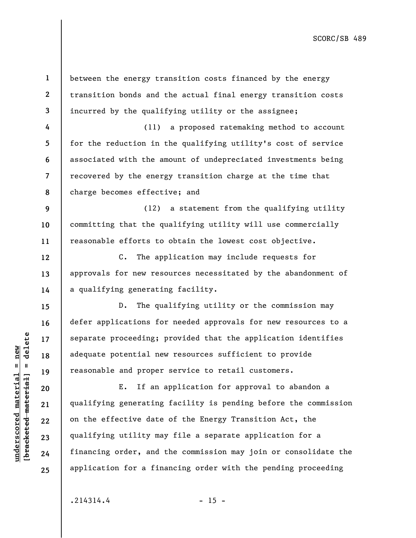**1 2 3 4 5 6 7 8 9 10 11 12 13 14 15 16 17 18 19 20 21 22 23 24 25**  between the energy transition costs financed by the energy transition bonds and the actual final energy transition costs incurred by the qualifying utility or the assignee; (11) a proposed ratemaking method to account for the reduction in the qualifying utility's cost of service associated with the amount of undepreciated investments being recovered by the energy transition charge at the time that charge becomes effective; and (12) a statement from the qualifying utility committing that the qualifying utility will use commercially reasonable efforts to obtain the lowest cost objective. C. The application may include requests for approvals for new resources necessitated by the abandonment of a qualifying generating facility. D. The qualifying utility or the commission may defer applications for needed approvals for new resources to a separate proceeding; provided that the application identifies adequate potential new resources sufficient to provide reasonable and proper service to retail customers. E. If an application for approval to abandon a qualifying generating facility is pending before the commission on the effective date of the Energy Transition Act, the qualifying utility may file a separate application for a financing order, and the commission may join or consolidate the application for a financing order with the pending proceeding

 $.214314.4$  - 15 -

**underscored material = new [bracketed material] = delete**

 $b$ racketed material] = delete  $underscored material = new$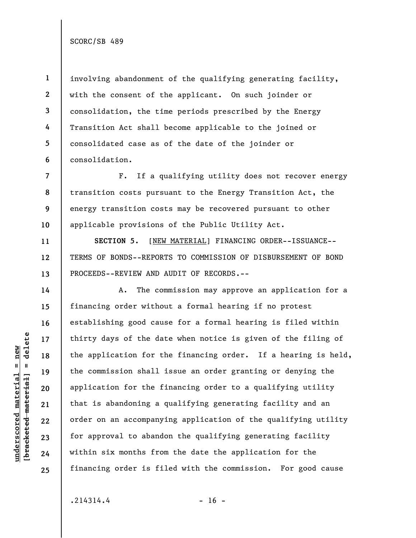**1 2 3 4 5 6**  involving abandonment of the qualifying generating facility, with the consent of the applicant. On such joinder or consolidation, the time periods prescribed by the Energy Transition Act shall become applicable to the joined or consolidated case as of the date of the joinder or consolidation.

**7 8 9**  F. If a qualifying utility does not recover energy transition costs pursuant to the Energy Transition Act, the energy transition costs may be recovered pursuant to other applicable provisions of the Public Utility Act.

**SECTION 5.** [NEW MATERIAL] FINANCING ORDER--ISSUANCE-- TERMS OF BONDS--REPORTS TO COMMISSION OF DISBURSEMENT OF BOND PROCEEDS--REVIEW AND AUDIT OF RECORDS.--

A. The commission may approve an application for a financing order without a formal hearing if no protest establishing good cause for a formal hearing is filed within thirty days of the date when notice is given of the filing of the application for the financing order. If a hearing is held, the commission shall issue an order granting or denying the application for the financing order to a qualifying utility that is abandoning a qualifying generating facility and an order on an accompanying application of the qualifying utility for approval to abandon the qualifying generating facility within six months from the date the application for the financing order is filed with the commission. For good cause

 $.214314.4$  - 16 -

 $b$ racketed material] = delete **[bracketed material] = delete**  $underscored material = new$ **underscored material = new**

**10** 

**11** 

**12** 

**13** 

**14** 

**15** 

**16** 

**17** 

**18** 

**19** 

**20** 

**21** 

**22** 

**23** 

**24**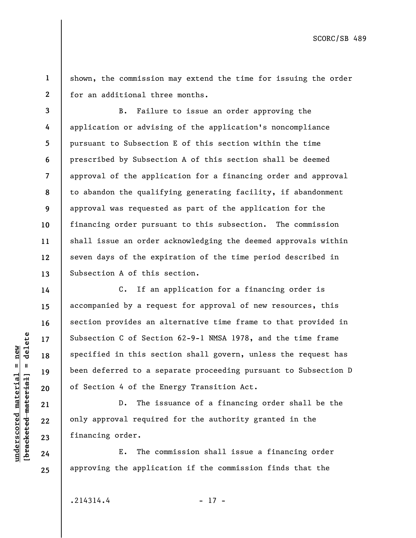**1 2**  shown, the commission may extend the time for issuing the order for an additional three months.

**3 4 5 6 7 8 9 10 11 12 13**  B. Failure to issue an order approving the application or advising of the application's noncompliance pursuant to Subsection E of this section within the time prescribed by Subsection A of this section shall be deemed approval of the application for a financing order and approval to abandon the qualifying generating facility, if abandonment approval was requested as part of the application for the financing order pursuant to this subsection. The commission shall issue an order acknowledging the deemed approvals within seven days of the expiration of the time period described in Subsection A of this section.

C. If an application for a financing order is accompanied by a request for approval of new resources, this section provides an alternative time frame to that provided in Subsection C of Section 62-9-1 NMSA 1978, and the time frame specified in this section shall govern, unless the request has been deferred to a separate proceeding pursuant to Subsection D of Section 4 of the Energy Transition Act.

D. The issuance of a financing order shall be the only approval required for the authority granted in the financing order.

E. The commission shall issue a financing order approving the application if the commission finds that the

 $.214314.4$  - 17 -

 $b$ racketed material] = delete **[bracketed material] = delete**  $underscored material = new$ **underscored material = new**

**14** 

**15** 

**16** 

**17** 

**18** 

**19** 

**20** 

**21** 

**22** 

**23** 

**24**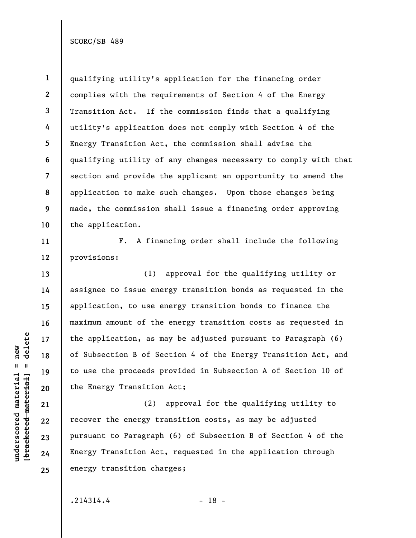**1 2 3 4 5 6 7 8 9 10 11 12**  qualifying utility's application for the financing order complies with the requirements of Section 4 of the Energy Transition Act. If the commission finds that a qualifying utility's application does not comply with Section 4 of the Energy Transition Act, the commission shall advise the qualifying utility of any changes necessary to comply with that section and provide the applicant an opportunity to amend the application to make such changes. Upon those changes being made, the commission shall issue a financing order approving the application. F. A financing order shall include the following provisions:

(1) approval for the qualifying utility or assignee to issue energy transition bonds as requested in the application, to use energy transition bonds to finance the maximum amount of the energy transition costs as requested in the application, as may be adjusted pursuant to Paragraph (6) of Subsection B of Section 4 of the Energy Transition Act, and to use the proceeds provided in Subsection A of Section 10 of the Energy Transition Act;

(2) approval for the qualifying utility to recover the energy transition costs, as may be adjusted pursuant to Paragraph (6) of Subsection B of Section 4 of the Energy Transition Act, requested in the application through energy transition charges;

 $.214314.4$  - 18 -

 $b$ racketed material] = delete **[bracketed material] = delete**  $underscored material = new$ **underscored material = new**

**13** 

**14** 

**15** 

**16** 

**17** 

**18** 

**19** 

**20** 

**21** 

**22** 

**23** 

**24**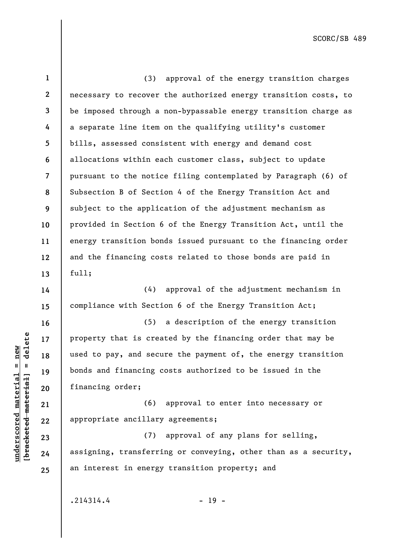| $\mathbf{1}$ | (3) approval of the energy transition charges                   |
|--------------|-----------------------------------------------------------------|
| $\mathbf{2}$ | necessary to recover the authorized energy transition costs, to |
| 3            | be imposed through a non-bypassable energy transition charge as |
| 4            | a separate line item on the qualifying utility's customer       |
| 5            | bills, assessed consistent with energy and demand cost          |
| 6            | allocations within each customer class, subject to update       |
| 7            | pursuant to the notice filing contemplated by Paragraph (6) of  |
| 8            | Subsection B of Section 4 of the Energy Transition Act and      |
| 9            | subject to the application of the adjustment mechanism as       |
| 10           | provided in Section 6 of the Energy Transition Act, until the   |
| 11           | energy transition bonds issued pursuant to the financing order  |
| 12           | and the financing costs related to those bonds are paid in      |
| 13           | ful1;                                                           |
| 14           | (4) approval of the adjustment mechanism in                     |
| 15           | compliance with Section 6 of the Energy Transition Act;         |
| 16           | a description of the energy transition<br>(5)                   |
| 17           | property that is created by the financing order that may be     |
| 18           | used to pay, and secure the payment of, the energy transition   |
| 19           | bonds and financing costs authorized to be issued in the        |
| 20           | financing order;                                                |
| 21           | (6)<br>approval to enter into necessary or                      |
| 22           | appropriate ancillary agreements;                               |
| 23           | approval of any plans for selling,<br>(7)                       |

assigning, transferring or conveying, other than as a security, an interest in energy transition property; and

 $.214314.4$  - 19 -

**underscored material = new [bracketed material] = delete**

 $[**brace** etc.**det**$  $underscored material = new$ 

**24**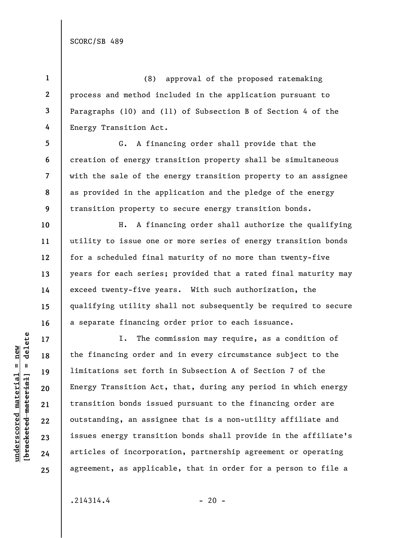**5** 

**6** 

**7** 

**9** 

**10** 

**11** 

**12** 

**13** 

**14** 

**15** 

**16** 

**17** 

**18** 

**19** 

**20** 

**21** 

**22** 

**23** 

**24** 

**25** 

**1 2 3 4**  (8) approval of the proposed ratemaking process and method included in the application pursuant to Paragraphs (10) and (11) of Subsection B of Section 4 of the Energy Transition Act.

**8**  G. A financing order shall provide that the creation of energy transition property shall be simultaneous with the sale of the energy transition property to an assignee as provided in the application and the pledge of the energy transition property to secure energy transition bonds.

H. A financing order shall authorize the qualifying utility to issue one or more series of energy transition bonds for a scheduled final maturity of no more than twenty-five years for each series; provided that a rated final maturity may exceed twenty-five years. With such authorization, the qualifying utility shall not subsequently be required to secure a separate financing order prior to each issuance.

I. The commission may require, as a condition of the financing order and in every circumstance subject to the limitations set forth in Subsection A of Section 7 of the Energy Transition Act, that, during any period in which energy transition bonds issued pursuant to the financing order are outstanding, an assignee that is a non-utility affiliate and issues energy transition bonds shall provide in the affiliate's articles of incorporation, partnership agreement or operating agreement, as applicable, that in order for a person to file a

 $.214314.4$  - 20 -

 $b$ racketed material] = delete **[bracketed material] = delete**  $underscored material = new$ **underscored material = new**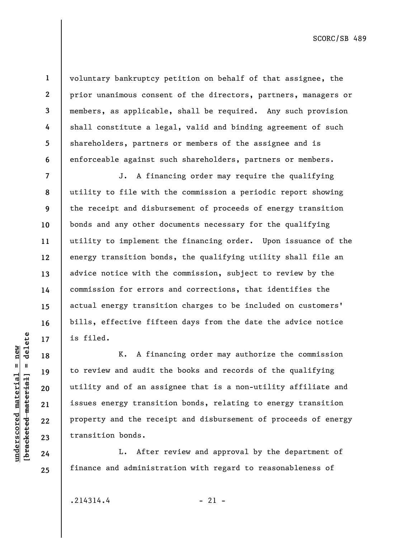**1** 

**2** 

**3** 

**underscored material = new [bracketed material] = delete**

 $b$ racketed material] = delete  $underscored material = new$ 

**22** 

**23** 

**24** 

**25** 

voluntary bankruptcy petition on behalf of that assignee, the prior unanimous consent of the directors, partners, managers or members, as applicable, shall be required. Any such provision shall constitute a legal, valid and binding agreement of such shareholders, partners or members of the assignee and is enforceable against such shareholders, partners or members.

J. A financing order may require the qualifying utility to file with the commission a periodic report showing the receipt and disbursement of proceeds of energy transition bonds and any other documents necessary for the qualifying utility to implement the financing order. Upon issuance of the energy transition bonds, the qualifying utility shall file an advice notice with the commission, subject to review by the commission for errors and corrections, that identifies the actual energy transition charges to be included on customers' bills, effective fifteen days from the date the advice notice is filed.

K. A financing order may authorize the commission to review and audit the books and records of the qualifying utility and of an assignee that is a non-utility affiliate and issues energy transition bonds, relating to energy transition property and the receipt and disbursement of proceeds of energy transition bonds.

L. After review and approval by the department of finance and administration with regard to reasonableness of

 $.214314.4$  - 21 -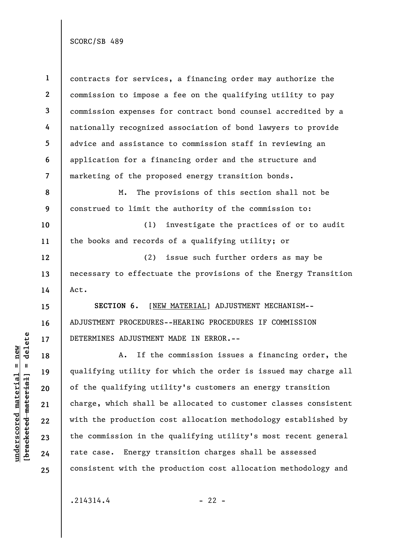**1 2 3 4 5 6 7 8 9 10**  contracts for services, a financing order may authorize the commission to impose a fee on the qualifying utility to pay commission expenses for contract bond counsel accredited by a nationally recognized association of bond lawyers to provide advice and assistance to commission staff in reviewing an application for a financing order and the structure and marketing of the proposed energy transition bonds. M. The provisions of this section shall not be construed to limit the authority of the commission to: (1) investigate the practices of or to audit the books and records of a qualifying utility; or

(2) issue such further orders as may be necessary to effectuate the provisions of the Energy Transition Act.

**SECTION 6.** [NEW MATERIAL] ADJUSTMENT MECHANISM-- ADJUSTMENT PROCEDURES--HEARING PROCEDURES IF COMMISSION DETERMINES ADJUSTMENT MADE IN ERROR.--

A. If the commission issues a financing order, the qualifying utility for which the order is issued may charge all of the qualifying utility's customers an energy transition charge, which shall be allocated to customer classes consistent with the production cost allocation methodology established by the commission in the qualifying utility's most recent general rate case. Energy transition charges shall be assessed consistent with the production cost allocation methodology and

 $.214314.4$  - 22 -

**11** 

**12** 

**13** 

**14** 

**15** 

**16** 

**17** 

**18** 

**19** 

**20** 

**21** 

**22** 

**23** 

**24**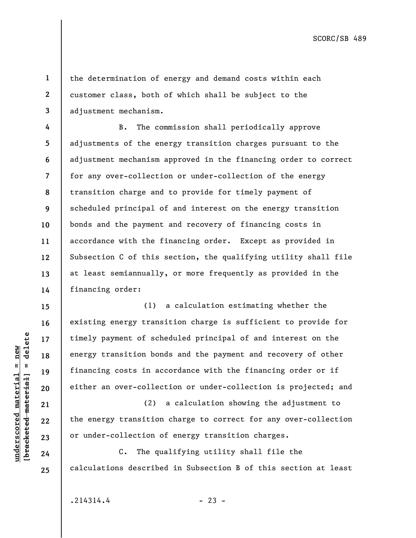**2 3 4** 

**1** 

the determination of energy and demand costs within each customer class, both of which shall be subject to the adjustment mechanism.

**5 6 7 8 9 10 11 12 13 14**  B. The commission shall periodically approve adjustments of the energy transition charges pursuant to the adjustment mechanism approved in the financing order to correct for any over-collection or under-collection of the energy transition charge and to provide for timely payment of scheduled principal of and interest on the energy transition bonds and the payment and recovery of financing costs in accordance with the financing order. Except as provided in Subsection C of this section, the qualifying utility shall file at least semiannually, or more frequently as provided in the financing order:

(1) a calculation estimating whether the existing energy transition charge is sufficient to provide for timely payment of scheduled principal of and interest on the energy transition bonds and the payment and recovery of other financing costs in accordance with the financing order or if either an over-collection or under-collection is projected; and

(2) a calculation showing the adjustment to the energy transition charge to correct for any over-collection or under-collection of energy transition charges.

C. The qualifying utility shall file the calculations described in Subsection B of this section at least

 $b$ racketed material] = delete **[bracketed material] = delete**  $underscored material = new$ **underscored material = new**

**15** 

**16** 

**17** 

**18** 

**19** 

**20** 

**21** 

**22** 

**23** 

**24**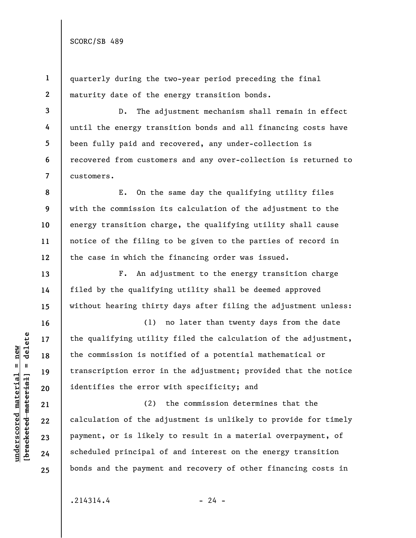**3** 

**4** 

**5** 

**6** 

**7** 

**8** 

**9** 

**10** 

**11** 

**12** 

**13** 

**14** 

**15** 

**16** 

**17** 

**18** 

**19** 

**20** 

**21** 

**22** 

**23** 

**24** 

**25** 

**1 2**  quarterly during the two-year period preceding the final maturity date of the energy transition bonds.

D. The adjustment mechanism shall remain in effect until the energy transition bonds and all financing costs have been fully paid and recovered, any under-collection is recovered from customers and any over-collection is returned to customers.

E. On the same day the qualifying utility files with the commission its calculation of the adjustment to the energy transition charge, the qualifying utility shall cause notice of the filing to be given to the parties of record in the case in which the financing order was issued.

F. An adjustment to the energy transition charge filed by the qualifying utility shall be deemed approved without hearing thirty days after filing the adjustment unless:

(1) no later than twenty days from the date the qualifying utility filed the calculation of the adjustment, the commission is notified of a potential mathematical or transcription error in the adjustment; provided that the notice identifies the error with specificity; and

(2) the commission determines that the calculation of the adjustment is unlikely to provide for timely payment, or is likely to result in a material overpayment, of scheduled principal of and interest on the energy transition bonds and the payment and recovery of other financing costs in

 $b$ racketed material] = delete **[bracketed material] = delete**  $underscored material = new$ **underscored material = new**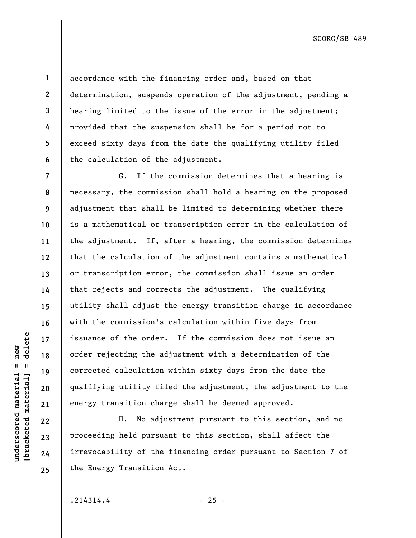**6** 

**7** 

**8** 

**9** 

**10** 

**11** 

**12** 

**13** 

**14** 

**15** 

**16** 

**17** 

**18** 

**19** 

**20** 

**21** 

**22** 

**23** 

**24** 

**25** 

**1** 

**underscored material = new [bracketed material] = delete**

 $underscored$  material = new

delete

 $\mathbf{I}$ 

bracketed material]

accordance with the financing order and, based on that determination, suspends operation of the adjustment, pending a hearing limited to the issue of the error in the adjustment; provided that the suspension shall be for a period not to exceed sixty days from the date the qualifying utility filed the calculation of the adjustment.

G. If the commission determines that a hearing is necessary, the commission shall hold a hearing on the proposed adjustment that shall be limited to determining whether there is a mathematical or transcription error in the calculation of the adjustment. If, after a hearing, the commission determines that the calculation of the adjustment contains a mathematical or transcription error, the commission shall issue an order that rejects and corrects the adjustment. The qualifying utility shall adjust the energy transition charge in accordance with the commission's calculation within five days from issuance of the order. If the commission does not issue an order rejecting the adjustment with a determination of the corrected calculation within sixty days from the date the qualifying utility filed the adjustment, the adjustment to the energy transition charge shall be deemed approved.

H. No adjustment pursuant to this section, and no proceeding held pursuant to this section, shall affect the irrevocability of the financing order pursuant to Section 7 of the Energy Transition Act.

 $.214314.4$  - 25 -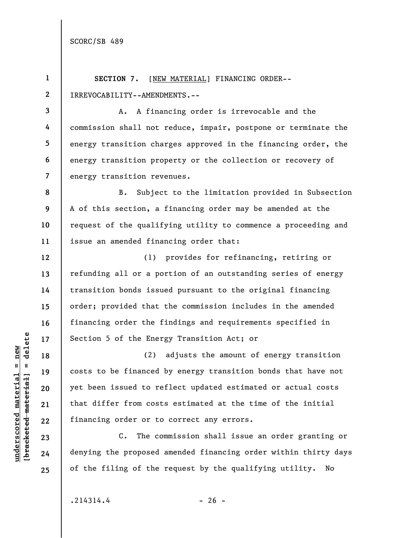**1 2**  SECTION 7. [NEW MATERIAL] FINANCING ORDER--IRREVOCABILITY--AMENDMENTS.--

**3 4 5 6 7**  A. A financing order is irrevocable and the commission shall not reduce, impair, postpone or terminate the energy transition charges approved in the financing order, the energy transition property or the collection or recovery of energy transition revenues.

B. Subject to the limitation provided in Subsection A of this section, a financing order may be amended at the request of the qualifying utility to commence a proceeding and issue an amended financing order that:

(1) provides for refinancing, retiring or refunding all or a portion of an outstanding series of energy transition bonds issued pursuant to the original financing order; provided that the commission includes in the amended financing order the findings and requirements specified in Section 5 of the Energy Transition Act; or

(2) adjusts the amount of energy transition costs to be financed by energy transition bonds that have not yet been issued to reflect updated estimated or actual costs that differ from costs estimated at the time of the initial financing order or to correct any errors.

C. The commission shall issue an order granting or denying the proposed amended financing order within thirty days of the filing of the request by the qualifying utility. No

 $b$ racketed material] = delete **[bracketed material] = delete**  $underscored material = new$ **underscored material = new**

**8** 

**9** 

**10** 

**11** 

**12** 

**13** 

**14** 

**15** 

**16** 

**17** 

**18** 

**19** 

**20** 

**21** 

**22** 

**23** 

**24** 

**25** 

 $.214314.4$  - 26 -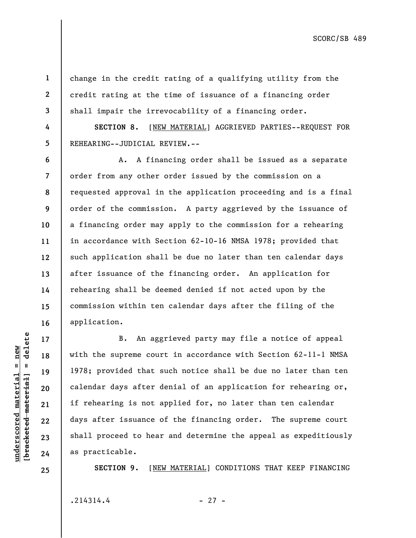change in the credit rating of a qualifying utility from the credit rating at the time of issuance of a financing order shall impair the irrevocability of a financing order.

**SECTION 8.** [NEW MATERIAL] AGGRIEVED PARTIES--REQUEST FOR REHEARING--JUDICIAL REVIEW.--

A. A financing order shall be issued as a separate order from any other order issued by the commission on a requested approval in the application proceeding and is a final order of the commission. A party aggrieved by the issuance of a financing order may apply to the commission for a rehearing in accordance with Section 62-10-16 NMSA 1978; provided that such application shall be due no later than ten calendar days after issuance of the financing order. An application for rehearing shall be deemed denied if not acted upon by the commission within ten calendar days after the filing of the application.

B. An aggrieved party may file a notice of appeal with the supreme court in accordance with Section 62-11-1 NMSA 1978; provided that such notice shall be due no later than ten calendar days after denial of an application for rehearing or, if rehearing is not applied for, no later than ten calendar days after issuance of the financing order. The supreme court shall proceed to hear and determine the appeal as expeditiously as practicable.

**SECTION 9.** [NEW MATERIAL] CONDITIONS THAT KEEP FINANCING

 $.214314.4$  - 27 -

delete **[bracketed material] = delete**  $underscored material = new$ **underscored material = new**  $\mathbf{u}$ bracketed material

**1** 

**2** 

**3** 

**4** 

**5** 

**6** 

**7** 

**8** 

**9** 

**10** 

**11** 

**12** 

**13** 

**14** 

**15** 

**16** 

**17** 

**18** 

**19** 

**20** 

**21** 

**22** 

**23** 

**24**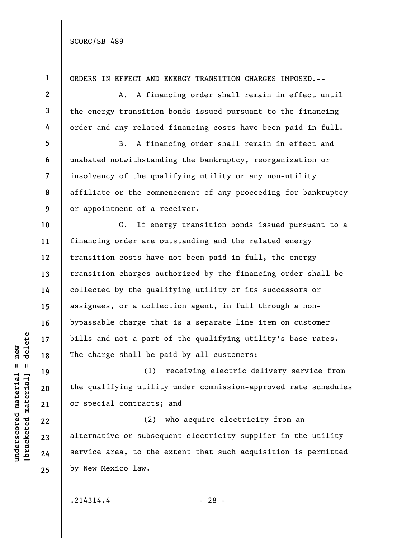**1**  ORDERS IN EFFECT AND ENERGY TRANSITION CHARGES IMPOSED.-- **2**  A. A financing order shall remain in effect until **3**  the energy transition bonds issued pursuant to the financing **4**  order and any related financing costs have been paid in full. **5**  B. A financing order shall remain in effect and **6**  unabated notwithstanding the bankruptcy, reorganization or insolvency of the qualifying utility or any non-utility **7**  affiliate or the commencement of any proceeding for bankruptcy **8 9**  or appointment of a receiver. **10**  C. If energy transition bonds issued pursuant to a financing order are outstanding and the related energy **11**  transition costs have not been paid in full, the energy **12**  transition charges authorized by the financing order shall be **13**  collected by the qualifying utility or its successors or **14**  assignees, or a collection agent, in full through a non-**15**  bypassable charge that is a separate line item on customer **16**   $\frac{1}{2}$  bracketed material] = delete **[bracketed material] = delete** bills and not a part of the qualifying utility's base rates. **17**  The charge shall be paid by all customers: **18**  (1) receiving electric delivery service from **19**  the qualifying utility under commission-approved rate schedules **20**  or special contracts; and **21**  (2) who acquire electricity from an **22**  alternative or subsequent electricity supplier in the utility **23**  service area, to the extent that such acquisition is permitted **24**  by New Mexico law. **25** 

**underscored material = new**

 $underscored material = new$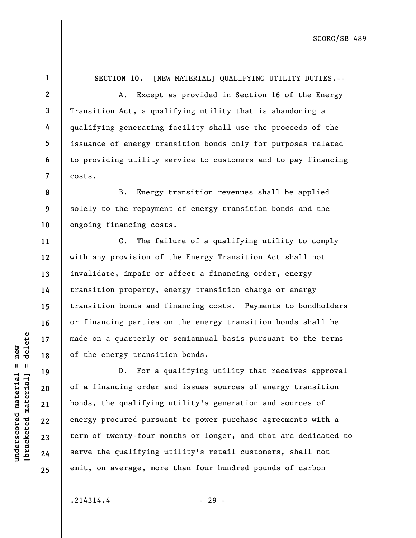**2 3 4 5 6 7**  A. Except as provided in Section 16 of the Energy Transition Act, a qualifying utility that is abandoning a qualifying generating facility shall use the proceeds of the issuance of energy transition bonds only for purposes related to providing utility service to customers and to pay financing costs.

**SECTION 10.** [NEW MATERIAL] QUALIFYING UTILITY DUTIES.--

**8 9 10**  B. Energy transition revenues shall be applied solely to the repayment of energy transition bonds and the ongoing financing costs.

C. The failure of a qualifying utility to comply with any provision of the Energy Transition Act shall not invalidate, impair or affect a financing order, energy transition property, energy transition charge or energy transition bonds and financing costs. Payments to bondholders or financing parties on the energy transition bonds shall be made on a quarterly or semiannual basis pursuant to the terms of the energy transition bonds.

D. For a qualifying utility that receives approval of a financing order and issues sources of energy transition bonds, the qualifying utility's generation and sources of energy procured pursuant to power purchase agreements with a term of twenty-four months or longer, and that are dedicated to serve the qualifying utility's retail customers, shall not emit, on average, more than four hundred pounds of carbon

 $.214314.4$  - 29 -

 $b$ racketed material] = delete **[bracketed material] = delete**  $underscored material = new$ **underscored material = new**

**1** 

**11** 

**12** 

**13** 

**14** 

**15** 

**16** 

**17** 

**18** 

**19** 

**20** 

**21** 

**22** 

**23** 

**24**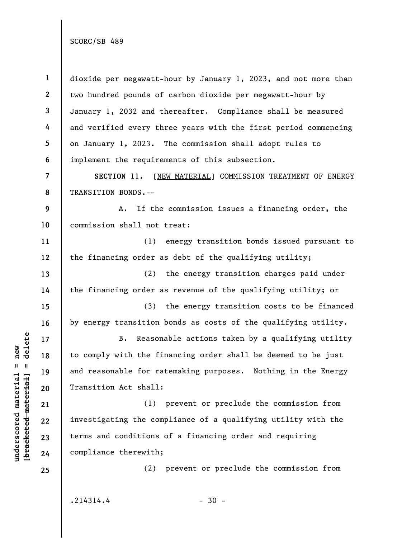**1 2 3 4 5 6 7 8 9 10 11 12 13 14 15 16 17 18 19 20 21 22 23 24 25**  dioxide per megawatt-hour by January 1, 2023, and not more than two hundred pounds of carbon dioxide per megawatt-hour by January 1, 2032 and thereafter. Compliance shall be measured and verified every three years with the first period commencing on January 1, 2023. The commission shall adopt rules to implement the requirements of this subsection. **SECTION 11.** [NEW MATERIAL] COMMISSION TREATMENT OF ENERGY TRANSITION BONDS.-- A. If the commission issues a financing order, the commission shall not treat: (1) energy transition bonds issued pursuant to the financing order as debt of the qualifying utility; (2) the energy transition charges paid under the financing order as revenue of the qualifying utility; or (3) the energy transition costs to be financed by energy transition bonds as costs of the qualifying utility. B. Reasonable actions taken by a qualifying utility to comply with the financing order shall be deemed to be just and reasonable for ratemaking purposes. Nothing in the Energy Transition Act shall: (1) prevent or preclude the commission from investigating the compliance of a qualifying utility with the terms and conditions of a financing order and requiring compliance therewith; (2) prevent or preclude the commission from  $.214314.4$  - 30 -

 $b$ racketed material] = delete **[bracketed material] = delete**  $underscored material = new$ **underscored material = new**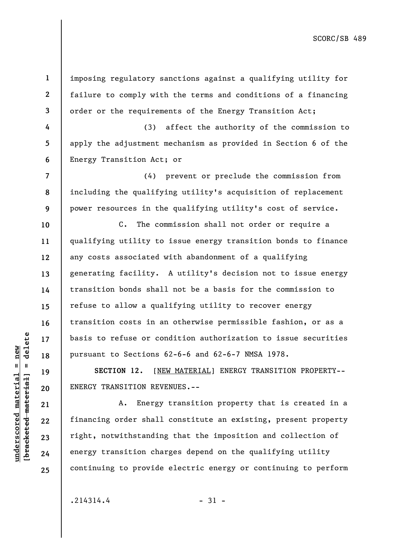imposing regulatory sanctions against a qualifying utility for failure to comply with the terms and conditions of a financing order or the requirements of the Energy Transition Act;

(3) affect the authority of the commission to apply the adjustment mechanism as provided in Section 6 of the Energy Transition Act; or

(4) prevent or preclude the commission from including the qualifying utility's acquisition of replacement power resources in the qualifying utility's cost of service.

C. The commission shall not order or require a qualifying utility to issue energy transition bonds to finance any costs associated with abandonment of a qualifying generating facility. A utility's decision not to issue energy transition bonds shall not be a basis for the commission to refuse to allow a qualifying utility to recover energy transition costs in an otherwise permissible fashion, or as a basis to refuse or condition authorization to issue securities pursuant to Sections 62-6-6 and 62-6-7 NMSA 1978.

**SECTION 12.** [NEW MATERIAL] ENERGY TRANSITION PROPERTY-- ENERGY TRANSITION REVENUES.--

A. Energy transition property that is created in a financing order shall constitute an existing, present property right, notwithstanding that the imposition and collection of energy transition charges depend on the qualifying utility continuing to provide electric energy or continuing to perform

 $.214314.4$  - 31 -

 $b$ racketed material] = delete **[bracketed material] = delete**  $underscored material = new$ **underscored material = new**

**1** 

**2** 

**3** 

**4** 

**5** 

**6** 

**7** 

**8** 

**9** 

**10** 

**11** 

**12** 

**13** 

**14** 

**15** 

**16** 

**17** 

**18** 

**19** 

**20** 

**21** 

**22** 

**23** 

**24**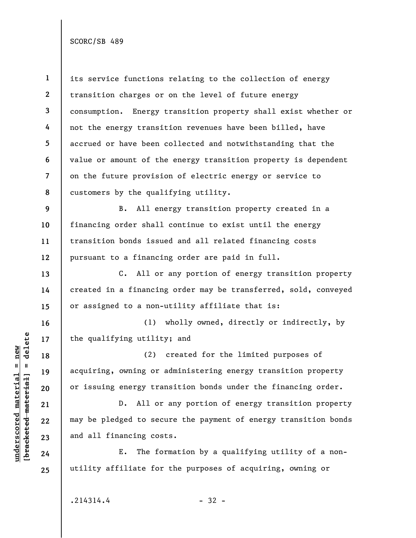**1 2 3 4 5 6 7 8 9 10 11 12 13 14 15 16 17 18 19 20 21 22 23 24 25**  its service functions relating to the collection of energy transition charges or on the level of future energy consumption. Energy transition property shall exist whether or not the energy transition revenues have been billed, have accrued or have been collected and notwithstanding that the value or amount of the energy transition property is dependent on the future provision of electric energy or service to customers by the qualifying utility. B. All energy transition property created in a financing order shall continue to exist until the energy transition bonds issued and all related financing costs pursuant to a financing order are paid in full. C. All or any portion of energy transition property created in a financing order may be transferred, sold, conveyed or assigned to a non-utility affiliate that is: (1) wholly owned, directly or indirectly, by the qualifying utility; and (2) created for the limited purposes of acquiring, owning or administering energy transition property or issuing energy transition bonds under the financing order. D. All or any portion of energy transition property may be pledged to secure the payment of energy transition bonds and all financing costs. E. The formation by a qualifying utility of a nonutility affiliate for the purposes of acquiring, owning or

 $.214314.4$  - 32 -

**underscored material = new [bracketed material] = delete**

 $b$ racketed material] = delete  $underscored material = new$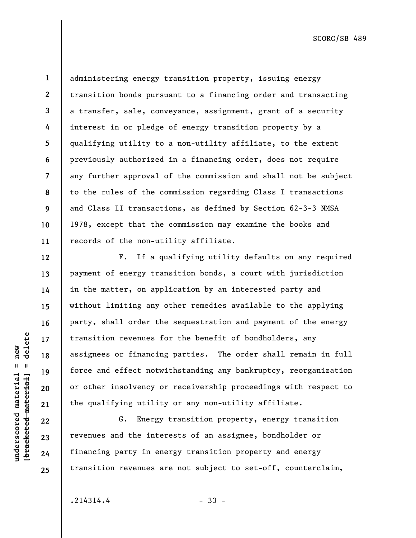$b$ racketed material] = delete **[bracketed material] = delete**  $underscored material = new$ **underscored material = new**

**12** 

**13** 

**14** 

**15** 

**16** 

**17** 

**18** 

**19** 

**20** 

**21** 

**22** 

**23** 

**24** 

**25** 

**1 2 3 4 5 6 7 8 9 10 11**  administering energy transition property, issuing energy transition bonds pursuant to a financing order and transacting a transfer, sale, conveyance, assignment, grant of a security interest in or pledge of energy transition property by a qualifying utility to a non-utility affiliate, to the extent previously authorized in a financing order, does not require any further approval of the commission and shall not be subject to the rules of the commission regarding Class I transactions and Class II transactions, as defined by Section 62-3-3 NMSA 1978, except that the commission may examine the books and records of the non-utility affiliate.

F. If a qualifying utility defaults on any required payment of energy transition bonds, a court with jurisdiction in the matter, on application by an interested party and without limiting any other remedies available to the applying party, shall order the sequestration and payment of the energy transition revenues for the benefit of bondholders, any assignees or financing parties. The order shall remain in full force and effect notwithstanding any bankruptcy, reorganization or other insolvency or receivership proceedings with respect to the qualifying utility or any non-utility affiliate.

G. Energy transition property, energy transition revenues and the interests of an assignee, bondholder or financing party in energy transition property and energy transition revenues are not subject to set-off, counterclaim,

 $.214314.4$  - 33 -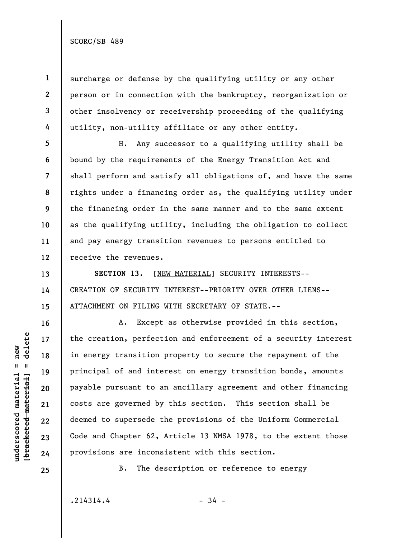**1** 

**2** 

**3** 

**4** 

**5** 

**6** 

**7** 

**8** 

**9** 

**10** 

**11** 

**12** 

**13** 

**14** 

**15** 

**16** 

**17** 

**18** 

**19** 

**20** 

**21** 

**22** 

**23** 

surcharge or defense by the qualifying utility or any other person or in connection with the bankruptcy, reorganization or other insolvency or receivership proceeding of the qualifying utility, non-utility affiliate or any other entity.

H. Any successor to a qualifying utility shall be bound by the requirements of the Energy Transition Act and shall perform and satisfy all obligations of, and have the same rights under a financing order as, the qualifying utility under the financing order in the same manner and to the same extent as the qualifying utility, including the obligation to collect and pay energy transition revenues to persons entitled to receive the revenues.

**SECTION 13.** [NEW MATERIAL] SECURITY INTERESTS-- CREATION OF SECURITY INTEREST--PRIORITY OVER OTHER LIENS-- ATTACHMENT ON FILING WITH SECRETARY OF STATE.--

A. Except as otherwise provided in this section, the creation, perfection and enforcement of a security interest in energy transition property to secure the repayment of the principal of and interest on energy transition bonds, amounts payable pursuant to an ancillary agreement and other financing costs are governed by this section. This section shall be deemed to supersede the provisions of the Uniform Commercial Code and Chapter 62, Article 13 NMSA 1978, to the extent those provisions are inconsistent with this section.

 $b$ racketed material] = delete **[bracketed material] = delete 24 25** 

**underscored material = new**

 $underscored material = new$ 

B. The description or reference to energy

 $.214314.4$  - 34 -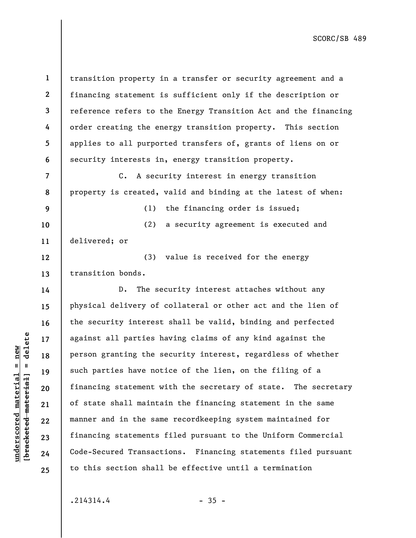**1 2 3 4 5 6 7 8 9 10 11 12 13 14 15 16 17 18 19 20 21 22 23 24 25**  transition property in a transfer or security agreement and a financing statement is sufficient only if the description or reference refers to the Energy Transition Act and the financing order creating the energy transition property. This section applies to all purported transfers of, grants of liens on or security interests in, energy transition property. C. A security interest in energy transition property is created, valid and binding at the latest of when: (1) the financing order is issued; (2) a security agreement is executed and delivered; or (3) value is received for the energy transition bonds. D. The security interest attaches without any physical delivery of collateral or other act and the lien of the security interest shall be valid, binding and perfected against all parties having claims of any kind against the person granting the security interest, regardless of whether such parties have notice of the lien, on the filing of a financing statement with the secretary of state. The secretary of state shall maintain the financing statement in the same manner and in the same recordkeeping system maintained for financing statements filed pursuant to the Uniform Commercial Code-Secured Transactions. Financing statements filed pursuant to this section shall be effective until a termination

**underscored material = new [bracketed material] = delete**

 $b$ racketed material] = delete  $underscored material = new$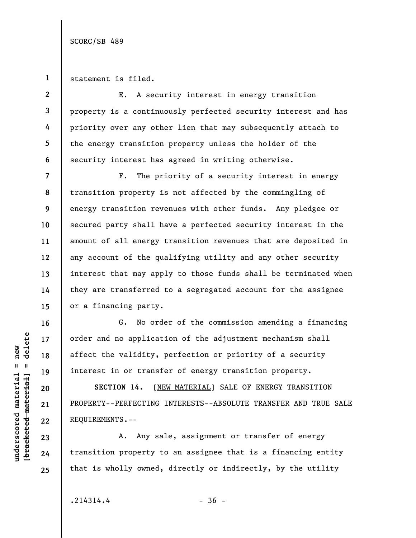**1**  statement is filed.

**4** 

**5** 

**6** 

**16** 

**17** 

**18** 

**19** 

**20** 

**21** 

**22** 

**23** 

**24** 

**25** 

**2 3**  E. A security interest in energy transition property is a continuously perfected security interest and has priority over any other lien that may subsequently attach to the energy transition property unless the holder of the security interest has agreed in writing otherwise.

**7 8 9 10 11 12 13 14 15**  F. The priority of a security interest in energy transition property is not affected by the commingling of energy transition revenues with other funds. Any pledgee or secured party shall have a perfected security interest in the amount of all energy transition revenues that are deposited in any account of the qualifying utility and any other security interest that may apply to those funds shall be terminated when they are transferred to a segregated account for the assignee or a financing party.

G. No order of the commission amending a financing order and no application of the adjustment mechanism shall affect the validity, perfection or priority of a security interest in or transfer of energy transition property.

SECTION 14. [NEW MATERIAL] SALE OF ENERGY TRANSITION PROPERTY--PERFECTING INTERESTS--ABSOLUTE TRANSFER AND TRUE SALE REQUIREMENTS.--

A. Any sale, assignment or transfer of energy transition property to an assignee that is a financing entity that is wholly owned, directly or indirectly, by the utility

 $.214314.4$  - 36 -

 $b$ racketed material] = delete **[bracketed material] = delete**  $underscored material = new$ **underscored material = new**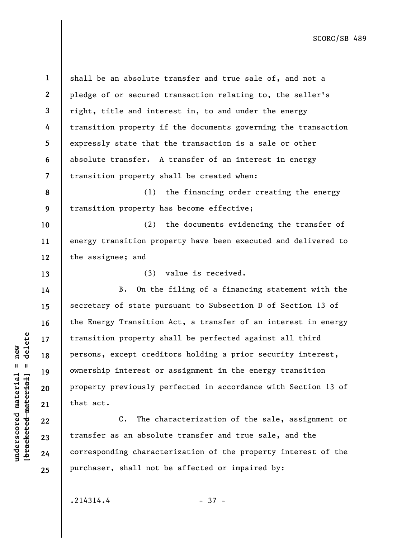$b$ racketed material] = delete **[bracketed material] = delete**  $underscored material = new$ **underscored material = new**

**13** 

**14** 

**15** 

**16** 

**17** 

**18** 

**19** 

**20** 

**21** 

**22** 

**23** 

**24** 

**25** 

**1 2 3 4 5 6 7**  shall be an absolute transfer and true sale of, and not a pledge of or secured transaction relating to, the seller's right, title and interest in, to and under the energy transition property if the documents governing the transaction expressly state that the transaction is a sale or other absolute transfer. A transfer of an interest in energy transition property shall be created when:

**8 9**  (1) the financing order creating the energy transition property has become effective;

**10 11 12**  (2) the documents evidencing the transfer of energy transition property have been executed and delivered to the assignee; and

(3) value is received.

B. On the filing of a financing statement with the secretary of state pursuant to Subsection D of Section 13 of the Energy Transition Act, a transfer of an interest in energy transition property shall be perfected against all third persons, except creditors holding a prior security interest, ownership interest or assignment in the energy transition property previously perfected in accordance with Section 13 of that act.

C. The characterization of the sale, assignment or transfer as an absolute transfer and true sale, and the corresponding characterization of the property interest of the purchaser, shall not be affected or impaired by:

 $.214314.4$  - 37 -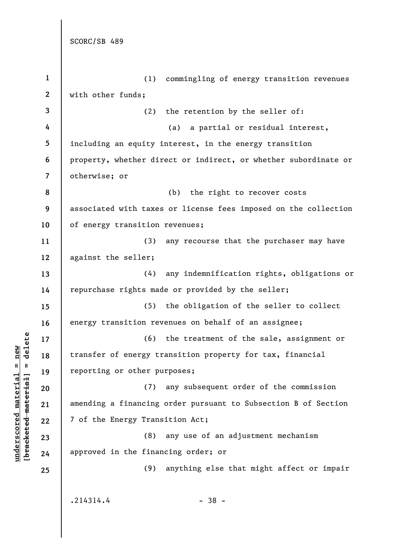| $\mathbf{1}$     | (1) commingling of energy transition revenues                   |
|------------------|-----------------------------------------------------------------|
| $\boldsymbol{2}$ | with other funds;                                               |
| 3                | the retention by the seller of:<br>(2)                          |
| 4                | (a) a partial or residual interest,                             |
| 5                | including an equity interest, in the energy transition          |
| 6                | property, whether direct or indirect, or whether subordinate or |
| 7                | otherwise; or                                                   |
| 8                | (b) the right to recover costs                                  |
| 9                | associated with taxes or license fees imposed on the collection |
| 10               | of energy transition revenues;                                  |
| 11               | (3)<br>any recourse that the purchaser may have                 |
| 12               | against the seller;                                             |
| 13               | (4) any indemnification rights, obligations or                  |
| 14               | repurchase rights made or provided by the seller;               |
| 15               | (5) the obligation of the seller to collect                     |
| 16               | energy transition revenues on behalf of an assignee;            |
| 17               | (6) the treatment of the sale, assignment or                    |
| 18               | transfer of energy transition property for tax, financial       |
| 19               | reporting or other purposes;                                    |
| 20               | (7)<br>any subsequent order of the commission                   |
| 21               | amending a financing order pursuant to Subsection B of Section  |
| 22               | 7 of the Energy Transition Act;                                 |
| 23               | any use of an adjustment mechanism<br>(8)                       |
| 24               | approved in the financing order; or                             |
| 25               | anything else that might affect or impair<br>(9)                |
|                  |                                                                 |
|                  | .214314.4<br>$-38 -$                                            |

 $[bracketeed-materiat] = delete$ **[bracketed material] = delete**  $underscored material = new$ **underscored material = new**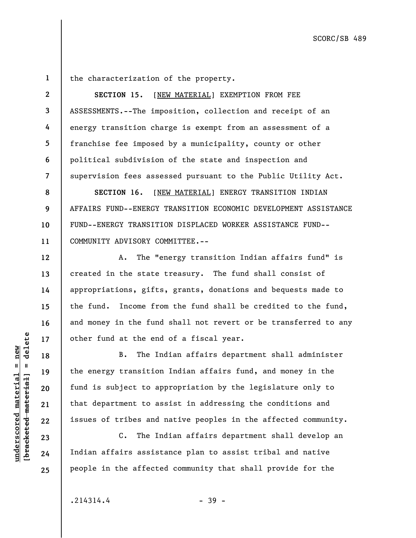**1** 

**2** 

**3** 

**4** 

**5** 

**6** 

**7** 

**12** 

**13** 

**14** 

**15** 

**16** 

**17** 

**18** 

**19** 

**20** 

**21** 

**22** 

**23** 

**24** 

**25** 

the characterization of the property.

**SECTION 15.** [NEW MATERIAL] EXEMPTION FROM FEE ASSESSMENTS.--The imposition, collection and receipt of an energy transition charge is exempt from an assessment of a franchise fee imposed by a municipality, county or other political subdivision of the state and inspection and supervision fees assessed pursuant to the Public Utility Act.

**8 9 10 11 SECTION 16.** [NEW MATERIAL] ENERGY TRANSITION INDIAN AFFAIRS FUND--ENERGY TRANSITION ECONOMIC DEVELOPMENT ASSISTANCE FUND--ENERGY TRANSITION DISPLACED WORKER ASSISTANCE FUND-- COMMUNITY ADVISORY COMMITTEE.--

A. The "energy transition Indian affairs fund" is created in the state treasury. The fund shall consist of appropriations, gifts, grants, donations and bequests made to the fund. Income from the fund shall be credited to the fund, and money in the fund shall not revert or be transferred to any other fund at the end of a fiscal year.

B. The Indian affairs department shall administer the energy transition Indian affairs fund, and money in the fund is subject to appropriation by the legislature only to that department to assist in addressing the conditions and issues of tribes and native peoples in the affected community.

C. The Indian affairs department shall develop an Indian affairs assistance plan to assist tribal and native people in the affected community that shall provide for the

 $\frac{1}{2}$  of  $\frac{1}{2}$  and  $\frac{1}{2}$  and  $\frac{1}{2}$  and  $\frac{1}{2}$  and  $\frac{1}{2}$  and  $\frac{1}{2}$  and  $\frac{1}{2}$  and  $\frac{1}{2}$  and  $\frac{1}{2}$  and  $\frac{1}{2}$  and  $\frac{1}{2}$  and  $\frac{1}{2}$  and  $\frac{1}{2}$  and  $\frac{1}{2}$  and  $\frac{1}{2}$  an **[bracketed material] = delete**  $underscored material = new$ **underscored material = new**

 $.214314.4$  - 39 -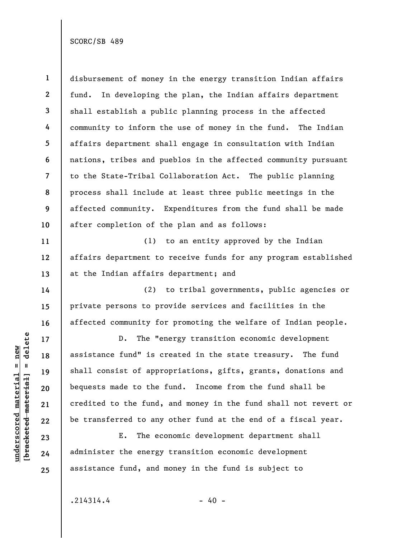**1 2 3 4 5 6 7 8 9 10**  disbursement of money in the energy transition Indian affairs fund. In developing the plan, the Indian affairs department shall establish a public planning process in the affected community to inform the use of money in the fund. The Indian affairs department shall engage in consultation with Indian nations, tribes and pueblos in the affected community pursuant to the State-Tribal Collaboration Act. The public planning process shall include at least three public meetings in the affected community. Expenditures from the fund shall be made after completion of the plan and as follows:

(1) to an entity approved by the Indian affairs department to receive funds for any program established at the Indian affairs department; and

(2) to tribal governments, public agencies or private persons to provide services and facilities in the affected community for promoting the welfare of Indian people.

D. The "energy transition economic development assistance fund" is created in the state treasury. The fund shall consist of appropriations, gifts, grants, donations and bequests made to the fund. Income from the fund shall be credited to the fund, and money in the fund shall not revert or be transferred to any other fund at the end of a fiscal year.

E. The economic development department shall administer the energy transition economic development assistance fund, and money in the fund is subject to

 $b$ racketed material] = delete **[bracketed material] = delete**  $underscored material = new$ **underscored material = new**

**11** 

**12** 

**13** 

**14** 

**15** 

**16** 

**17** 

**18** 

**19** 

**20** 

**21** 

**22** 

**23** 

**24** 

**25**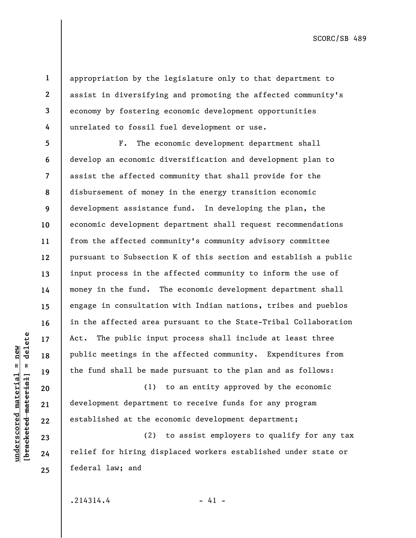**2 3** 

**4** 

**5** 

**6** 

**10** 

**11** 

**13** 

**14** 

**15** 

**16** 

**17** 

**18** 

**19** 

**20** 

**21** 

**22** 

**23** 

**24** 

**25** 

**1** 

appropriation by the legislature only to that department to assist in diversifying and promoting the affected community's economy by fostering economic development opportunities unrelated to fossil fuel development or use.

**7 8 9 12**  F. The economic development department shall develop an economic diversification and development plan to assist the affected community that shall provide for the disbursement of money in the energy transition economic development assistance fund. In developing the plan, the economic development department shall request recommendations from the affected community's community advisory committee pursuant to Subsection K of this section and establish a public input process in the affected community to inform the use of money in the fund. The economic development department shall engage in consultation with Indian nations, tribes and pueblos in the affected area pursuant to the State-Tribal Collaboration Act. The public input process shall include at least three public meetings in the affected community. Expenditures from the fund shall be made pursuant to the plan and as follows:

(1) to an entity approved by the economic development department to receive funds for any program established at the economic development department;

(2) to assist employers to qualify for any tax relief for hiring displaced workers established under state or federal law; and

 $.214314.4$  - 41 -

 $b$ racketed material] = delete **[bracketed material] = delete**  $underscored material = new$ **underscored material = new**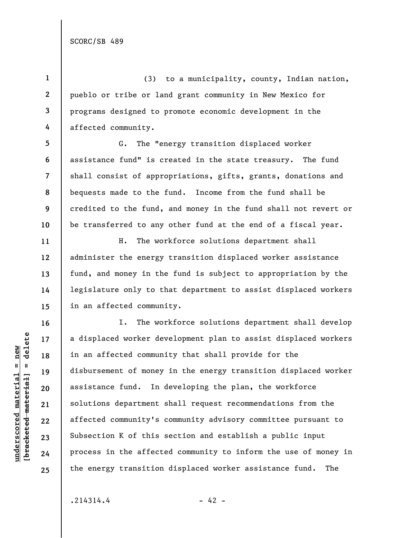**1 2 3 4**  (3) to a municipality, county, Indian nation, pueblo or tribe or land grant community in New Mexico for programs designed to promote economic development in the affected community.

**5 6 7 8 9 10**  G. The "energy transition displaced worker assistance fund" is created in the state treasury. The fund shall consist of appropriations, gifts, grants, donations and bequests made to the fund. Income from the fund shall be credited to the fund, and money in the fund shall not revert or be transferred to any other fund at the end of a fiscal year.

H. The workforce solutions department shall administer the energy transition displaced worker assistance fund, and money in the fund is subject to appropriation by the legislature only to that department to assist displaced workers in an affected community.

I. The workforce solutions department shall develop a displaced worker development plan to assist displaced workers in an affected community that shall provide for the disbursement of money in the energy transition displaced worker assistance fund. In developing the plan, the workforce solutions department shall request recommendations from the affected community's community advisory committee pursuant to Subsection K of this section and establish a public input process in the affected community to inform the use of money in the energy transition displaced worker assistance fund. The

 $.214314.4$  - 42 -

 $b$ racketed material] = delete **[bracketed material] = delete**  $underscored material = new$ **underscored material = new**

**11** 

**12** 

**13** 

**14** 

**15** 

**16** 

**17** 

**18** 

**19** 

**20** 

**21** 

**22** 

**23** 

**24** 

**25**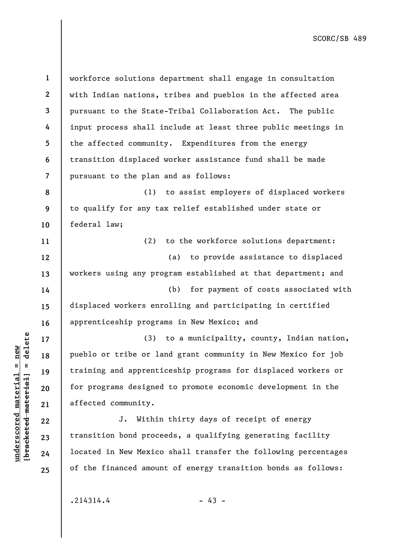| $\mathbf{1}$   | workforce solutions department shall engage in consultation    |
|----------------|----------------------------------------------------------------|
| $\mathbf{2}$   | with Indian nations, tribes and pueblos in the affected area   |
| 3              | pursuant to the State-Tribal Collaboration Act. The public     |
| 4              | input process shall include at least three public meetings in  |
| 5              | the affected community. Expenditures from the energy           |
| 6              | transition displaced worker assistance fund shall be made      |
| $\overline{7}$ | pursuant to the plan and as follows:                           |
| 8              | to assist employers of displaced workers<br>(1)                |
| 9              | to qualify for any tax relief established under state or       |
| 10             | federal law;                                                   |
| 11             | (2)<br>to the workforce solutions department:                  |
| 12             | to provide assistance to displaced<br>(a)                      |
| 13             | workers using any program established at that department; and  |
| 14             | (b)<br>for payment of costs associated with                    |
| 15             | displaced workers enrolling and participating in certified     |
| 16             | apprenticeship programs in New Mexico; and                     |
| 17             | (3) to a municipality, county, Indian nation,                  |
| 18             | pueblo or tribe or land grant community in New Mexico for job  |
| 19             | training and apprenticeship programs for displaced workers or  |
| 20             | for programs designed to promote economic development in the   |
| 21             | affected community.                                            |
| 22             | Within thirty days of receipt of energy<br>J.                  |
| 23             | transition bond proceeds, a qualifying generating facility     |
| 24             | located in New Mexico shall transfer the following percentages |
| 25             | of the financed amount of energy transition bonds as follows:  |
|                |                                                                |

 $[**bracketetedmeterial**] = **delete**$ **[bracketed material] = delete**  $underscored material = new$ **underscored material = new**

 $-43 - 43$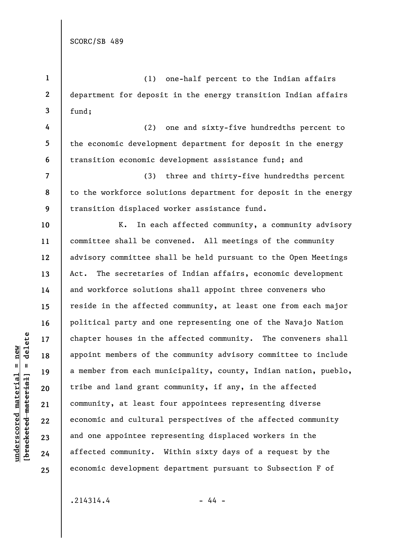**4** 

**5** 

**6** 

**7** 

**8** 

**9** 

**10** 

**11** 

**12** 

**13** 

**14** 

**15** 

**16** 

**17** 

**18** 

**19** 

**20** 

**21** 

**22** 

**23** 

**24** 

**25** 

**1 2 3**  (1) one-half percent to the Indian affairs department for deposit in the energy transition Indian affairs fund;

(2) one and sixty-five hundredths percent to the economic development department for deposit in the energy transition economic development assistance fund; and

(3) three and thirty-five hundredths percent to the workforce solutions department for deposit in the energy transition displaced worker assistance fund.

K. In each affected community, a community advisory committee shall be convened. All meetings of the community advisory committee shall be held pursuant to the Open Meetings Act. The secretaries of Indian affairs, economic development and workforce solutions shall appoint three conveners who reside in the affected community, at least one from each major political party and one representing one of the Navajo Nation chapter houses in the affected community. The conveners shall appoint members of the community advisory committee to include a member from each municipality, county, Indian nation, pueblo, tribe and land grant community, if any, in the affected community, at least four appointees representing diverse economic and cultural perspectives of the affected community and one appointee representing displaced workers in the affected community. Within sixty days of a request by the economic development department pursuant to Subsection F of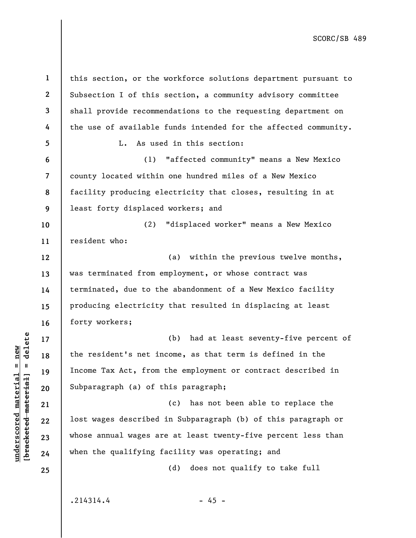**1 2 3 4 5 6 7 8 9 10 11 12 13 14 15 16 17 18 19 20 21 22 23 24 25**  this section, or the workforce solutions department pursuant to Subsection I of this section, a community advisory committee shall provide recommendations to the requesting department on the use of available funds intended for the affected community. L. As used in this section: (1) "affected community" means a New Mexico county located within one hundred miles of a New Mexico facility producing electricity that closes, resulting in at least forty displaced workers; and (2) "displaced worker" means a New Mexico resident who: (a) within the previous twelve months, was terminated from employment, or whose contract was terminated, due to the abandonment of a New Mexico facility producing electricity that resulted in displacing at least forty workers; (b) had at least seventy-five percent of the resident's net income, as that term is defined in the Income Tax Act, from the employment or contract described in Subparagraph (a) of this paragraph; (c) has not been able to replace the lost wages described in Subparagraph (b) of this paragraph or whose annual wages are at least twenty-five percent less than when the qualifying facility was operating; and (d) does not qualify to take full  $.214314.4$  - 45 -

 $b$ racketed material] = delete **[bracketed material] = delete**  $underscored material = new$ **underscored material = new**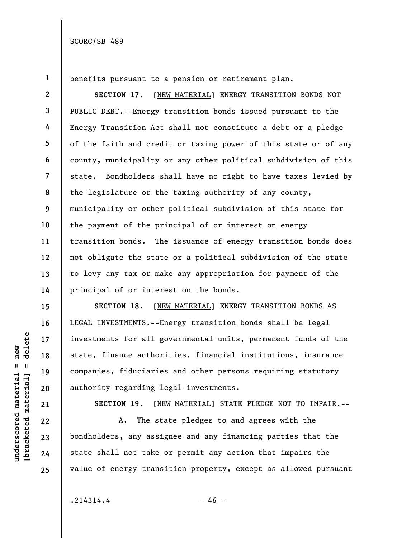**1** 

**2** 

**3** 

**4** 

**5** 

**6** 

**7** 

**9** 

**10** 

**11** 

**12** 

**13** 

**14** 

**15** 

**16** 

**17** 

**18** 

**19** 

**20** 

**21** 

**22** 

**23** 

**24** 

**25** 

benefits pursuant to a pension or retirement plan.

**8 SECTION 17.** [NEW MATERIAL] ENERGY TRANSITION BONDS NOT PUBLIC DEBT.--Energy transition bonds issued pursuant to the Energy Transition Act shall not constitute a debt or a pledge of the faith and credit or taxing power of this state or of any county, municipality or any other political subdivision of this state. Bondholders shall have no right to have taxes levied by the legislature or the taxing authority of any county, municipality or other political subdivision of this state for the payment of the principal of or interest on energy transition bonds. The issuance of energy transition bonds does not obligate the state or a political subdivision of the state to levy any tax or make any appropriation for payment of the principal of or interest on the bonds.

**SECTION 18.** [NEW MATERIAL] ENERGY TRANSITION BONDS AS LEGAL INVESTMENTS.--Energy transition bonds shall be legal investments for all governmental units, permanent funds of the state, finance authorities, financial institutions, insurance companies, fiduciaries and other persons requiring statutory authority regarding legal investments.

**SECTION 19.** [NEW MATERIAL] STATE PLEDGE NOT TO IMPAIR.--

A. The state pledges to and agrees with the bondholders, any assignee and any financing parties that the state shall not take or permit any action that impairs the value of energy transition property, except as allowed pursuant

 $b$ racketed material] = delete **[bracketed material] = delete**  $underscored material = new$ **underscored material = new**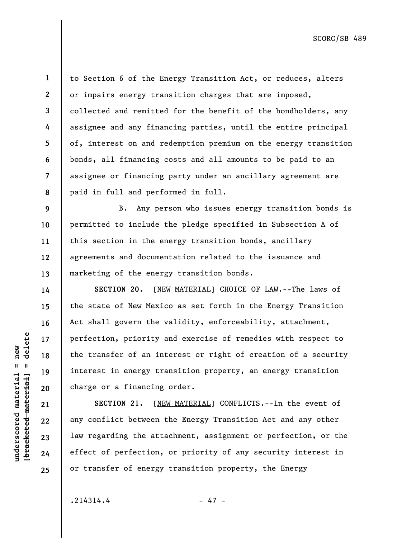delete **[bracketed material] = delete**  $underscored material = new$ **underscored material = new**  $\mathbf{I}$ bracketed material **1** 

**2** 

**3** 

**4** 

**5** 

**6** 

**7** 

**14** 

**15** 

**16** 

**17** 

**18** 

**19** 

**20** 

**21** 

**22** 

**23** 

**24** 

**25** 

**8**  to Section 6 of the Energy Transition Act, or reduces, alters or impairs energy transition charges that are imposed, collected and remitted for the benefit of the bondholders, any assignee and any financing parties, until the entire principal of, interest on and redemption premium on the energy transition bonds, all financing costs and all amounts to be paid to an assignee or financing party under an ancillary agreement are paid in full and performed in full.

**9 10 11 12 13**  B. Any person who issues energy transition bonds is permitted to include the pledge specified in Subsection A of this section in the energy transition bonds, ancillary agreements and documentation related to the issuance and marketing of the energy transition bonds.

**SECTION 20.** [NEW MATERIAL] CHOICE OF LAW.--The laws of the state of New Mexico as set forth in the Energy Transition Act shall govern the validity, enforceability, attachment, perfection, priority and exercise of remedies with respect to the transfer of an interest or right of creation of a security interest in energy transition property, an energy transition charge or a financing order.

**SECTION 21.** [NEW MATERIAL] CONFLICTS.--In the event of any conflict between the Energy Transition Act and any other law regarding the attachment, assignment or perfection, or the effect of perfection, or priority of any security interest in or transfer of energy transition property, the Energy

 $.214314.4$ 

$$
-47
$$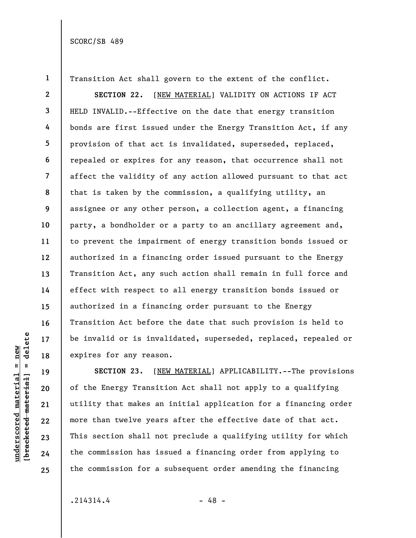**1 2 3 4 5 6 7 8 9 10 11 12 13 14 15 16 17 18**  Transition Act shall govern to the extent of the conflict. **SECTION 22.** [NEW MATERIAL] VALIDITY ON ACTIONS IF ACT HELD INVALID.--Effective on the date that energy transition bonds are first issued under the Energy Transition Act, if any provision of that act is invalidated, superseded, replaced, repealed or expires for any reason, that occurrence shall not affect the validity of any action allowed pursuant to that act that is taken by the commission, a qualifying utility, an assignee or any other person, a collection agent, a financing party, a bondholder or a party to an ancillary agreement and, to prevent the impairment of energy transition bonds issued or authorized in a financing order issued pursuant to the Energy Transition Act, any such action shall remain in full force and effect with respect to all energy transition bonds issued or authorized in a financing order pursuant to the Energy Transition Act before the date that such provision is held to be invalid or is invalidated, superseded, replaced, repealed or expires for any reason.

**SECTION 23.** [NEW MATERIAL] APPLICABILITY.--The provisions of the Energy Transition Act shall not apply to a qualifying utility that makes an initial application for a financing order more than twelve years after the effective date of that act. This section shall not preclude a qualifying utility for which the commission has issued a financing order from applying to the commission for a subsequent order amending the financing

 $.214314.4$  - 48 -

 $b$ racketed material] = delete **[bracketed material] = delete**

**19** 

**20** 

**21** 

**22** 

**underscored material = new**

 $underscored material = new$ 

**23 24 25**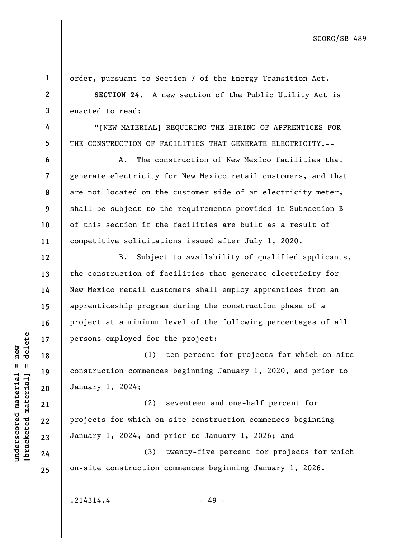**1**  order, pursuant to Section 7 of the Energy Transition Act. **2 SECTION 24.** A new section of the Public Utility Act is **3**  enacted to read: **4**  "[NEW MATERIAL] REQUIRING THE HIRING OF APPRENTICES FOR **5**  THE CONSTRUCTION OF FACILITIES THAT GENERATE ELECTRICITY.-- **6**  A. The construction of New Mexico facilities that **7**  generate electricity for New Mexico retail customers, and that are not located on the customer side of an electricity meter, **8 9**  shall be subject to the requirements provided in Subsection B **10**  of this section if the facilities are built as a result of competitive solicitations issued after July 1, 2020. **11**  B. Subject to availability of qualified applicants, **12**  the construction of facilities that generate electricity for **13**  New Mexico retail customers shall employ apprentices from an **14**  apprenticeship program during the construction phase of a **15**  project at a minimum level of the following percentages of all **16**   $b$ racketed material] = delete **[bracketed material] = delete** persons employed for the project: **17**  (1) ten percent for projects for which on-site **18**  construction commences beginning January 1, 2020, and prior to **19**  January 1, 2024; **20**  (2) seventeen and one-half percent for **21**  projects for which on-site construction commences beginning **22**  January 1, 2024, and prior to January 1, 2026; and **23**  (3) twenty-five percent for projects for which **24**  on-site construction commences beginning January 1, 2026. **25** 

 $.214314.4$  - 49 -

**underscored material = new**

 $underscored material = new$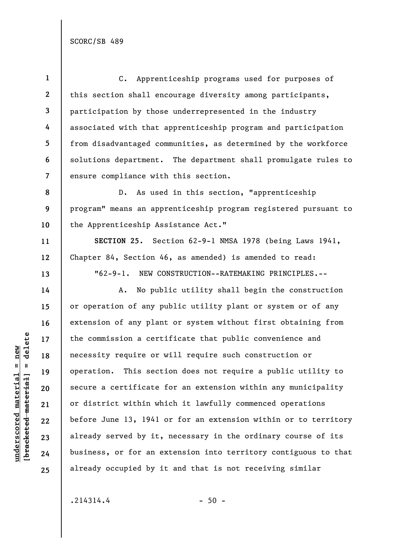**1 2 3 4 5 6 7**  C. Apprenticeship programs used for purposes of this section shall encourage diversity among participants, participation by those underrepresented in the industry associated with that apprenticeship program and participation from disadvantaged communities, as determined by the workforce solutions department. The department shall promulgate rules to ensure compliance with this section.

**8 9 10**  D. As used in this section, "apprenticeship program" means an apprenticeship program registered pursuant to the Apprenticeship Assistance Act."

**SECTION 25.** Section 62-9-1 NMSA 1978 (being Laws 1941, Chapter 84, Section 46, as amended) is amended to read: "62-9-1. NEW CONSTRUCTION--RATEMAKING PRINCIPLES.--

A. No public utility shall begin the construction or operation of any public utility plant or system or of any extension of any plant or system without first obtaining from the commission a certificate that public convenience and necessity require or will require such construction or operation. This section does not require a public utility to secure a certificate for an extension within any municipality or district within which it lawfully commenced operations before June 13, 1941 or for an extension within or to territory already served by it, necessary in the ordinary course of its business, or for an extension into territory contiguous to that already occupied by it and that is not receiving similar

**11** 

**12** 

**13** 

**14** 

**15** 

**16** 

**17** 

**18** 

**19** 

**20** 

**21** 

**22** 

**23** 

**24** 

**25**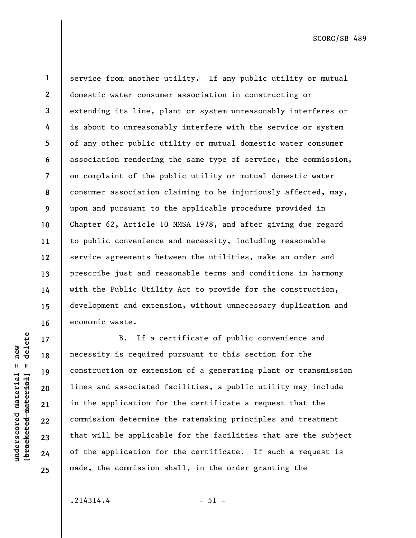**17** 

**18** 

**25** 

**1** 

**2** 

**3** 

**4** 

**5** 

**6** 

**7** 

**8** 

**9** 

**underscored material = new**

 $underscored material = new$ 

service from another utility. If any public utility or mutual domestic water consumer association in constructing or extending its line, plant or system unreasonably interferes or is about to unreasonably interfere with the service or system of any other public utility or mutual domestic water consumer association rendering the same type of service, the commission, on complaint of the public utility or mutual domestic water consumer association claiming to be injuriously affected, may, upon and pursuant to the applicable procedure provided in Chapter 62, Article 10 NMSA 1978, and after giving due regard to public convenience and necessity, including reasonable service agreements between the utilities, make an order and prescribe just and reasonable terms and conditions in harmony with the Public Utility Act to provide for the construction, development and extension, without unnecessary duplication and economic waste.

B. If a certificate of public convenience and necessity is required pursuant to this section for the construction or extension of a generating plant or transmission lines and associated facilities, a public utility may include in the application for the certificate a request that the commission determine the ratemaking principles and treatment that will be applicable for the facilities that are the subject of the application for the certificate. If such a request is made, the commission shall, in the order granting the

 $.214314.4$  - 51 -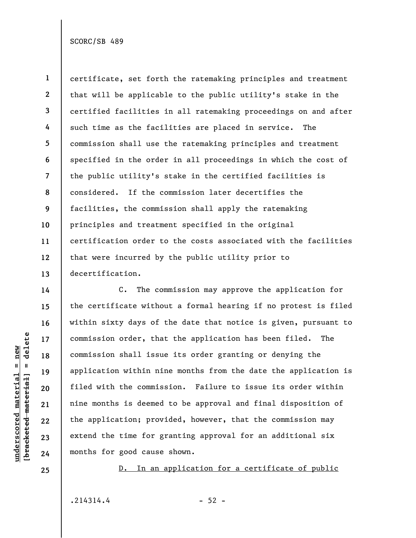**1 2 3 4 5 6 7 8 9 10 11 12 13**  certificate, set forth the ratemaking principles and treatment that will be applicable to the public utility's stake in the certified facilities in all ratemaking proceedings on and after such time as the facilities are placed in service. The commission shall use the ratemaking principles and treatment specified in the order in all proceedings in which the cost of the public utility's stake in the certified facilities is considered. If the commission later decertifies the facilities, the commission shall apply the ratemaking principles and treatment specified in the original certification order to the costs associated with the facilities that were incurred by the public utility prior to decertification.

C. The commission may approve the application for the certificate without a formal hearing if no protest is filed within sixty days of the date that notice is given, pursuant to commission order, that the application has been filed. The commission shall issue its order granting or denying the application within nine months from the date the application is filed with the commission. Failure to issue its order within nine months is deemed to be approval and final disposition of the application; provided, however, that the commission may extend the time for granting approval for an additional six months for good cause shown.

D. In an application for a certificate of public

 $.214314.4$  - 52 -

delete **[bracketed material] = delete**  $underscored material = new$ **underscored material = new**  $\frac{1}{2}$  bracketed material = **14** 

**15** 

**16** 

**17** 

**18** 

**19** 

**20** 

**21** 

**22** 

**23** 

**24** 

**25**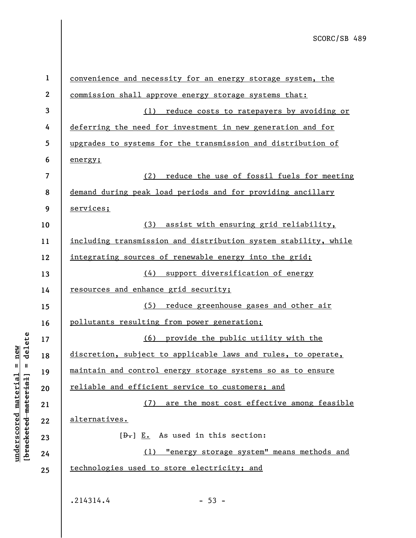| $\mathbf{1}$             | convenience and necessity for an energy storage system, the     |
|--------------------------|-----------------------------------------------------------------|
| $\boldsymbol{2}$         | commission shall approve energy storage systems that:           |
| 3                        | (1) reduce costs to ratepayers by avoiding or                   |
| 4                        | deferring the need for investment in new generation and for     |
| 5                        | upgrades to systems for the transmission and distribution of    |
| 6                        | energy;                                                         |
| $\overline{\mathcal{L}}$ | (2)<br>reduce the use of fossil fuels for meeting               |
| 8                        | demand during peak load periods and for providing ancillary     |
| 9                        | services;                                                       |
| 10                       | (3)<br>assist with ensuring grid reliability,                   |
| 11                       | including transmission and distribution system stability, while |
| 12                       | integrating sources of renewable energy into the grid;          |
| 13                       | (4) support diversification of energy                           |
| 14                       | <u>resources and enhance grid security;</u>                     |
| 15                       | reduce greenhouse gases and other air<br>(5)                    |
| 16                       | pollutants resulting from power generation;                     |
| 17                       | (6) provide the public utility with the                         |
| 18                       | discretion, subject to applicable laws and rules, to operate,   |
| 19                       | maintain and control energy storage systems so as to ensure     |
| 20                       | reliable and efficient service to customers; and                |
| 21                       | (7) are the most cost effective among feasible                  |
| 22                       | alternatives.                                                   |
| 23                       | $[\theta_{\tau}]$ E. As used in this section:                   |
| 24                       | (1) "energy storage system" means methods and                   |
| 25                       | technologies used to store electricity; and                     |
|                          |                                                                 |
|                          | .214314.4<br>$-53 -$                                            |

**underscored material = new [bracketed material] = delete**

 $[**bracket**et~~eted matcherial~~] = **delete**$  $underscored material = new$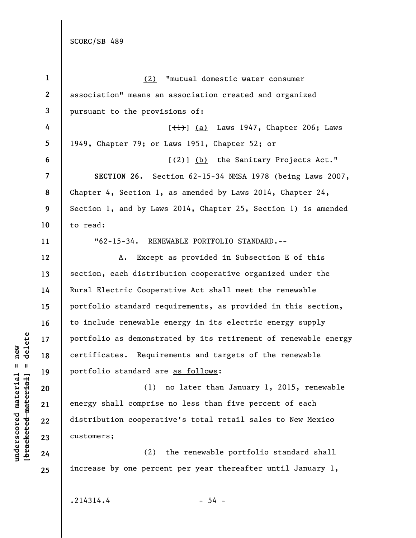**1 2 3 4 5 6 7 8 9 10 11 12 13 14 15 16 17 18 19 20 21 22 23 24 25**  (2) "mutual domestic water consumer association" means an association created and organized pursuant to the provisions of:  $[\frac{1}{1}]$  (a) Laws 1947, Chapter 206; Laws 1949, Chapter 79; or Laws 1951, Chapter 52; or  $[\frac{2}{2}]$  (b) the Sanitary Projects Act." **SECTION 26.** Section 62-15-34 NMSA 1978 (being Laws 2007, Chapter 4, Section 1, as amended by Laws 2014, Chapter 24, Section 1, and by Laws 2014, Chapter 25, Section 1) is amended to read: "62-15-34. RENEWABLE PORTFOLIO STANDARD.-- A. Except as provided in Subsection E of this section, each distribution cooperative organized under the Rural Electric Cooperative Act shall meet the renewable portfolio standard requirements, as provided in this section, to include renewable energy in its electric energy supply portfolio as demonstrated by its retirement of renewable energy certificates. Requirements and targets of the renewable portfolio standard are as follows: (1) no later than January 1, 2015, renewable energy shall comprise no less than five percent of each distribution cooperative's total retail sales to New Mexico customers; (2) the renewable portfolio standard shall increase by one percent per year thereafter until January 1,

 $b$ racketed material] = delete **[bracketed material] = delete**  $underscored material = new$ **underscored material = new**

 $.214314.4$  - 54 -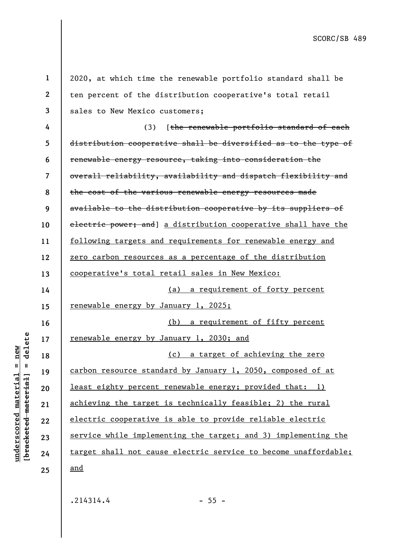| $\mathbf{1}$ | 2020, at which time the renewable portfolio standard shall be   |
|--------------|-----------------------------------------------------------------|
| $\mathbf{2}$ | ten percent of the distribution cooperative's total retail      |
| 3            | sales to New Mexico customers;                                  |
| 4            | [the renewable portfolio standard of each<br>(3)                |
| 5            | distribution cooperative shall be diversified as to the type of |
| 6            | renewable energy resource, taking into consideration the        |
| 7            | overall reliability, availability and dispatch flexibility and  |
| 8            | the cost of the various renewable energy resources made         |
| 9            | available to the distribution cooperative by its suppliers of   |
| 10           | electric power; and] a distribution cooperative shall have the  |
| 11           | following targets and requirements for renewable energy and     |
| 12           | zero carbon resources as a percentage of the distribution       |
| 13           | cooperative's total retail sales in New Mexico:                 |
| 14           | (a) a requirement of forty percent                              |
| 15           | <u>renewable energy by January 1, 2025;</u>                     |
| 16           | (b) a requirement of fifty percent                              |
| 17           | <u>renewable energy by January 1, 2030; and</u>                 |
| 18           | (c) a target of achieving the zero                              |
| 19           | carbon resource standard by January 1, 2050, composed of at     |
| 20           | least eighty percent renewable energy; provided that: 1)        |
| 21           | achieving the target is technically feasible; 2) the rural      |
| 22           | electric cooperative is able to provide reliable electric       |
| 23           | service while implementing the target; and 3) implementing the  |
| 24           | target shall not cause electric service to become unaffordable; |
| 25           | <u>and</u>                                                      |
|              |                                                                 |

 $.214314.4$  - 55 -

**underscored material = new [bracketed material] = delete**

 $[**bracket**et~~eted matcherial~~] = **delete**$  $underscored material = new$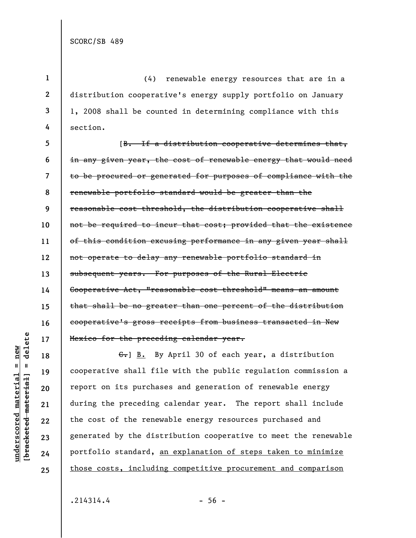**1** 

**2** 

**3** 

**4** 

(4) renewable energy resources that are in a distribution cooperative's energy supply portfolio on January 1, 2008 shall be counted in determining compliance with this section.

**5 6 7 8 9 10 11 12 13 14 15 16 17**  [B. If a distribution cooperative determines that, in any given year, the cost of renewable energy that would need to be procured or generated for purposes of compliance with the renewable portfolio standard would be greater than the reasonable cost threshold, the distribution cooperative shall not be required to incur that cost; provided that the existence of this condition excusing performance in any given year shall not operate to delay any renewable portfolio standard in subsequent years. For purposes of the Rural Electric Cooperative Act, "reasonable cost threshold" means an amount that shall be no greater than one percent of the distribution cooperative's gross receipts from business transacted in New Mexico for the preceding calendar year.

G. B. By April 30 of each year, a distribution cooperative shall file with the public regulation commission a report on its purchases and generation of renewable energy during the preceding calendar year. The report shall include the cost of the renewable energy resources purchased and generated by the distribution cooperative to meet the renewable portfolio standard, an explanation of steps taken to minimize those costs, including competitive procurement and comparison

**underscored material = new [bracketed material] = delete**

 $underscored material = new$ 

delete

 $\mathbf{u}$ 

bracketed material

**18** 

**19** 

**20** 

**21** 

**22** 

**23** 

**24** 

**25**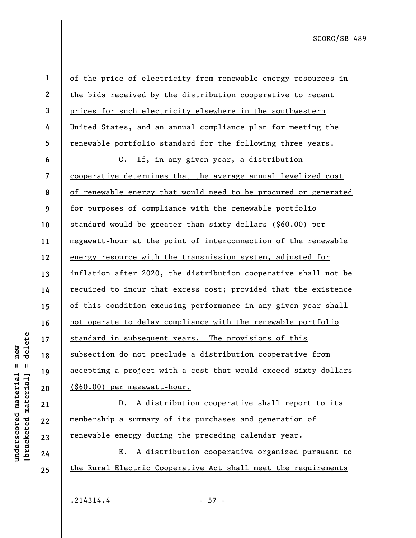delete **[bracketed material] = delete**  $underscored material = new$ **underscored material = new**  $\mathbf{I}$ bracketed material]

**22** 

**23** 

**24** 

**25** 

**1 2 3 4 5 6 7 8 9 10 11 12 13 14 15 16 17 18 19 20 21**  of the price of electricity from renewable energy resources in the bids received by the distribution cooperative to recent prices for such electricity elsewhere in the southwestern United States, and an annual compliance plan for meeting the renewable portfolio standard for the following three years. C. If, in any given year, a distribution cooperative determines that the average annual levelized cost of renewable energy that would need to be procured or generated for purposes of compliance with the renewable portfolio standard would be greater than sixty dollars (\$60.00) per megawatt-hour at the point of interconnection of the renewable energy resource with the transmission system, adjusted for inflation after 2020, the distribution cooperative shall not be required to incur that excess cost; provided that the existence of this condition excusing performance in any given year shall not operate to delay compliance with the renewable portfolio standard in subsequent years. The provisions of this subsection do not preclude a distribution cooperative from accepting a project with a cost that would exceed sixty dollars (\$60.00) per megawatt-hour.

D. A distribution cooperative shall report to its membership a summary of its purchases and generation of renewable energy during the preceding calendar year.

E. A distribution cooperative organized pursuant to the Rural Electric Cooperative Act shall meet the requirements

 $.214314.4$  - 57 -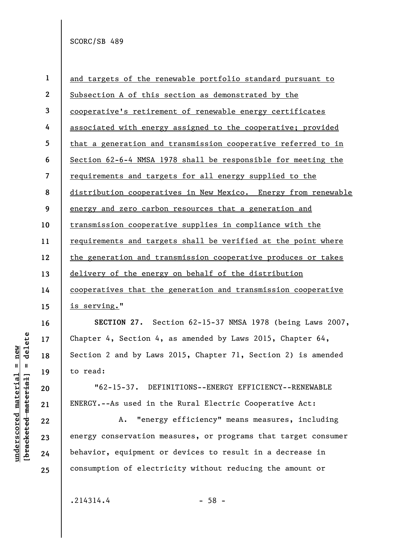| $\mathbf{1}$     | and targets of the renewable portfolio standard pursuant to    |
|------------------|----------------------------------------------------------------|
| $\boldsymbol{2}$ | Subsection A of this section as demonstrated by the            |
| 3                | cooperative's retirement of renewable energy certificates      |
| 4                | associated with energy assigned to the cooperative; provided   |
| 5                | that a generation and transmission cooperative referred to in  |
| 6                | Section 62-6-4 NMSA 1978 shall be responsible for meeting the  |
| 7                | requirements and targets for all energy supplied to the        |
| 8                | distribution cooperatives in New Mexico. Energy from renewable |
| 9                | energy and zero carbon resources that a generation and         |
| 10               | transmission cooperative supplies in compliance with the       |
| 11               | requirements and targets shall be verified at the point where  |
| 12               | the generation and transmission cooperative produces or takes  |
| 13               | delivery of the energy on behalf of the distribution           |
| 14               | cooperatives that the generation and transmission cooperative  |
| 15               | is serving."                                                   |
| 16               | SECTION 27. Section 62-15-37 NMSA 1978 (being Laws 2007,       |
| 17               | Chapter 4, Section 4, as amended by Laws 2015, Chapter $64$ ,  |
| 18               | Section 2 and by Laws 2015, Chapter 71, Section 2) is amended  |
| 19               | to read:                                                       |
| 20               | "62-15-37. DEFINITIONS--ENERGY EFFICIENCY--RENEWABLE           |
| 21               | ENERGY.--As used in the Rural Electric Cooperative Act:        |
| 22               | "energy efficiency" means measures, including<br>Α.            |
| 23               | energy conservation measures, or programs that target consumer |
| 24               | behavior, equipment or devices to result in a decrease in      |
| 25               | consumption of electricity without reducing the amount or      |

 $.214314.4$  - 58 -

 $\begin{array}{c} \hline \end{array}$ 

**underscored material = new [bracketed material] = delete**

 $[**bracket**et~~eted matcherial~~] = **delete**$  $underscored material = new$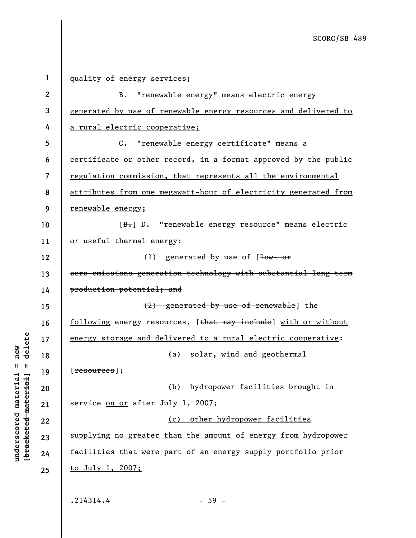| $\mathbf 1$ | quality of energy services;                                     |
|-------------|-----------------------------------------------------------------|
| $\mathbf 2$ | B. "renewable energy" means electric energy                     |
| 3           | generated by use of renewable energy resources and delivered to |
| 4           | a rural electric cooperative;                                   |
| 5           | C. "renewable energy certificate" means a                       |
| 6           | certificate or other record, in a format approved by the public |
| 7           | regulation commission, that represents all the environmental    |
| 8           | attributes from one megawatt-hour of electricity generated from |
| 9           | <u>renewable energy;</u>                                        |
| 10          | [B.] D. "renewable energy resource" means electric              |
| 11          | or useful thermal energy:                                       |
| 12          | (1) generated by use of $[\frac{1}{10w} - 0^2]$                 |
| 13          | zero-emissions generation technology with substantial long-term |
| 14          | production potential; and                                       |
| 15          | (2) generated by use of renewable] the                          |
| 16          | following energy resources, [that may include] with or without  |
| 17          | energy storage and delivered to a rural electric cooperative:   |
| 18          | (a) solar, wind and geothermal                                  |
| 19          | [ <del>resources</del> ];                                       |
| 20          | (b) hydropower facilities brought in                            |
| 21          | service on or after July 1, 2007;                               |
| 22          | (c) other hydropower facilities                                 |
| 23          | supplying no greater than the amount of energy from hydropower  |
| 24          | facilities that were part of an energy supply portfolio prior   |
| 25          | <u>to July 1, 2007;</u>                                         |
|             |                                                                 |
|             | .214314.4<br>$-59 -$                                            |

**underscored material = new [bracketed material] = delete**

 $[**bracket**et~~eted matcherial~~] = **delete**$  $underscored material = new$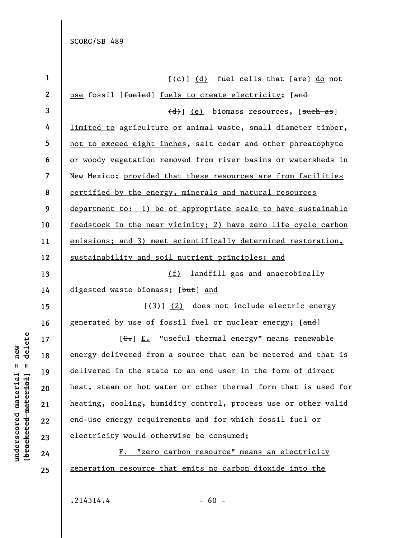| $\mathbf 1$      | $(\overline{e})$ (d) fuel cells that $[\overline{are}]$ do not  |
|------------------|-----------------------------------------------------------------|
| $\boldsymbol{2}$ | use fossil [fueled] fuels to create electricity; [and           |
| 3                | (d) (e) biomass resources, [such as]                            |
| 4                | limited to agriculture or animal waste, small diameter timber,  |
| 5                | not to exceed eight inches, salt cedar and other phreatophyte   |
| 6                | or woody vegetation removed from river basins or watersheds in  |
| 7                | New Mexico; provided that these resources are from facilities   |
| 8                | certified by the energy, minerals and natural resources         |
| 9                | department to: 1) be of appropriate scale to have sustainable   |
| 10               | feedstock in the near vicinity; 2) have zero life cycle carbon  |
| 11               | emissions; and 3) meet scientifically determined restoration,   |
| 12               | sustainability and soil nutrient principles; and                |
| 13               | (f) landfill gas and anaerobically                              |
| 14               | digested waste biomass; [but] and                               |
| 15               | [(3)] (2) does not include electric energy                      |
| 16               | generated by use of fossil fuel or nuclear energy; [and]        |
| 17               | [ $G$ .] E. "useful thermal energy" means renewable             |
| 18               | energy delivered from a source that can be metered and that is  |
| 19               | delivered in the state to an end user in the form of direct     |
| 20               | heat, steam or hot water or other thermal form that is used for |
| 21               | heating, cooling, humidity control, process use or other valid  |
| 22               | end-use energy requirements and for which fossil fuel or        |
| 23               | electricity would otherwise be consumed;                        |
| 24               | "zero carbon resource" means an electricity<br>$\mathbf{F}$ .   |
| 25               | generation resource that emits no carbon dioxide into the       |

 $.214314.4$  - 60 -

**underscored material = new [bracketed material] = delete**

 $[**bracketetedmeterial**] = **delete**$  $underscored material = new$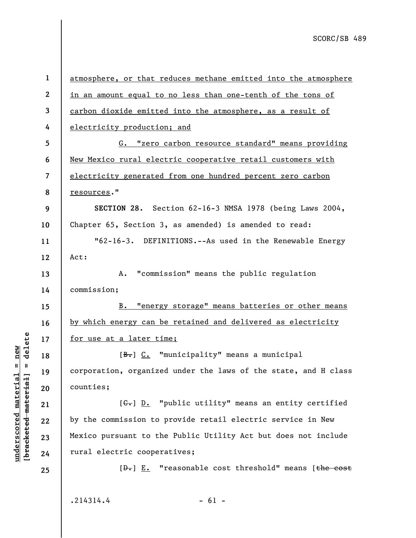| $\mathbf{1}$             | atmosphere, or that reduces methane emitted into the atmosphere                                                                                                                                      |
|--------------------------|------------------------------------------------------------------------------------------------------------------------------------------------------------------------------------------------------|
| $\mathbf{2}$             | in an amount equal to no less than one-tenth of the tons of                                                                                                                                          |
| 3                        | carbon dioxide emitted into the atmosphere, as a result of                                                                                                                                           |
| 4                        | electricity production; and                                                                                                                                                                          |
| 5                        | G. "zero carbon resource standard" means providing                                                                                                                                                   |
| 6                        | New Mexico rural electric cooperative retail customers with                                                                                                                                          |
| $\overline{\mathcal{L}}$ | electricity generated from one hundred percent zero carbon                                                                                                                                           |
| 8                        | resources."                                                                                                                                                                                          |
| 9                        | SECTION 28. Section 62-16-3 NMSA 1978 (being Laws 2004,                                                                                                                                              |
| 10                       | Chapter 65, Section 3, as amended) is amended to read:                                                                                                                                               |
| 11                       | "62-16-3. DEFINITIONS.--As used in the Renewable Energy                                                                                                                                              |
| 12                       | Act:                                                                                                                                                                                                 |
| 13                       | "commission" means the public regulation<br>A.                                                                                                                                                       |
| 14                       | commission;                                                                                                                                                                                          |
| 15                       | B. "energy storage" means batteries or other means                                                                                                                                                   |
| 16                       | by which energy can be retained and delivered as electricity                                                                                                                                         |
| 17                       | <u>for use at a later time;</u>                                                                                                                                                                      |
| 18                       | [B.] C. "municipality" means a municipal                                                                                                                                                             |
| 19                       | corporation, organized under the laws of the state, and H class                                                                                                                                      |
| 20                       | counties;                                                                                                                                                                                            |
| 21                       | $[\leftarrow, \cdot \cdot \cdot \cdot \cdot \cdot \cdot \cdot \cdot \cdot \cdot \cdot \cdot \cdot \cdot \cdot \cdot \cdot \cdot \cdot \cdot \cdot \cdot \cdot \cdot \cdot \cdot \cdot \cdot \cdot <$ |
| 22                       | by the commission to provide retail electric service in New                                                                                                                                          |
| 23                       | Mexico pursuant to the Public Utility Act but does not include                                                                                                                                       |
| 24                       | rural electric cooperatives;                                                                                                                                                                         |
| 25                       | $[\theta_{\tau}]$ E. "reasonable cost threshold" means [the cost                                                                                                                                     |
|                          |                                                                                                                                                                                                      |

 $.214314.4$  - 61 -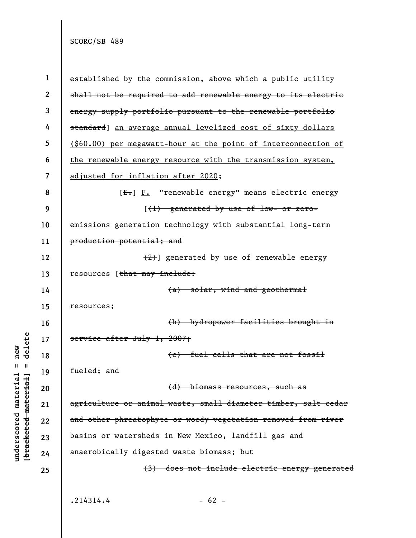delete **[bracketed material] = delete**  $anderscored material = new$ **underscored material = new**  $\mathbf{I}$ bracketed material

**1 2 3 4 5 6 7 8 9 10 11 12 13 14 15 16 17 18 19 20 21 22 23 24 25**  established by the commission, above which a public utility shall not be required to add renewable energy to its electric energy supply portfolio pursuant to the renewable portfolio standard] an average annual levelized cost of sixty dollars (\$60.00) per megawatt-hour at the point of interconnection of the renewable energy resource with the transmission system, adjusted for inflation after 2020; [ $E$ . "renewable energy" means electric energy [(1) generated by use of low- or zeroemissions generation technology with substantial long-term production potential; and (2)] generated by use of renewable energy resources [that may include: (a) solar, wind and geothermal resources; (b) hydropower facilities brought in service after July 1, 2007; (c) fuel cells that are not fossil fueled; and (d) biomass resources, such as agriculture or animal waste, small diameter timber, salt cedar and other phreatophyte or woody vegetation removed from river basins or watersheds in New Mexico, landfill gas and anaerobically digested waste biomass; but (3) does not include electric energy generated  $.214314.4$  - 62 -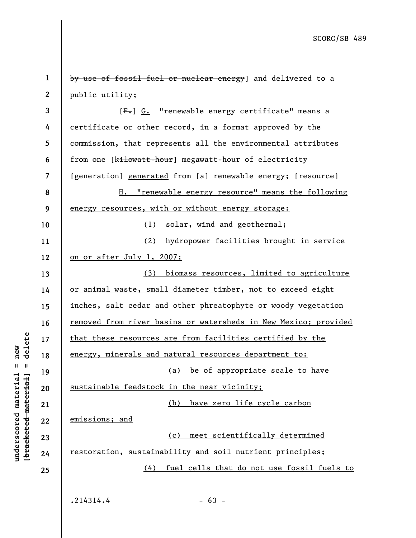**1 2 3 4**  by use of fossil fuel or nuclear energy] and delivered to a public utility;  $[F-]$  G. "renewable energy certificate" means a

**5 6 7 8 9 10 11 12 13 14 15 16 17 18 19 20 21 22 23 24 25**  certificate or other record, in a format approved by the commission, that represents all the environmental attributes from one [kilowatt-hour] megawatt-hour of electricity [generation] generated from [a] renewable energy; [resource] H. "renewable energy resource" means the following energy resources, with or without energy storage: (1) solar, wind and geothermal; (2) hydropower facilities brought in service on or after July 1, 2007; (3) biomass resources, limited to agriculture or animal waste, small diameter timber, not to exceed eight inches, salt cedar and other phreatophyte or woody vegetation removed from river basins or watersheds in New Mexico; provided that these resources are from facilities certified by the energy, minerals and natural resources department to: (a) be of appropriate scale to have sustainable feedstock in the near vicinity; (b) have zero life cycle carbon emissions; and (c) meet scientifically determined restoration, sustainability and soil nutrient principles; (4) fuel cells that do not use fossil fuels to

 $.214314.4$  - 63 -

**underscored material = new [bracketed material] = delete**

bracketed material] = delete  $anderscored material = new$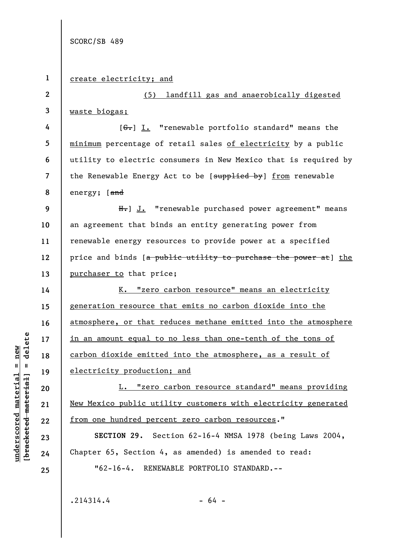## **1**  create electricity; and

**3**  waste biogas;

**2** 

**14** 

**15** 

**16** 

**17** 

**18** 

**19** 

**20** 

**21** 

**22** 

**23** 

**24** 

**4 5 6 7 8**   $[6-]$  I. "renewable portfolio standard" means the minimum percentage of retail sales of electricity by a public utility to electric consumers in New Mexico that is required by the Renewable Energy Act to be [supplied by] from renewable energy; [and

(5) landfill gas and anaerobically digested

**9 10 11 12 13**  H.] J. "renewable purchased power agreement" means an agreement that binds an entity generating power from renewable energy resources to provide power at a specified price and binds [a public utility to purchase the power at] the purchaser to that price;

K. "zero carbon resource" means an electricity generation resource that emits no carbon dioxide into the atmosphere, or that reduces methane emitted into the atmosphere in an amount equal to no less than one-tenth of the tons of carbon dioxide emitted into the atmosphere, as a result of electricity production; and

L. "zero carbon resource standard" means providing New Mexico public utility customers with electricity generated from one hundred percent zero carbon resources."

**SECTION 29.** Section 62-16-4 NMSA 1978 (being Laws 2004, Chapter 65, Section 4, as amended) is amended to read:

"62-16-4. RENEWABLE PORTFOLIO STANDARD.--

**25** 

**underscored material = new [bracketed material] = delete**

 $b$ racketed material] = delete  $underscored material = new$ 

 $.214314.4$  - 64 -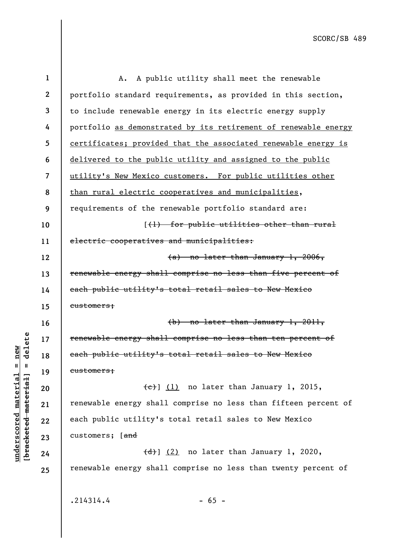| $\mathbf 1$      | A public utility shall meet the renewable<br>Α.                 |
|------------------|-----------------------------------------------------------------|
| $\boldsymbol{2}$ | portfolio standard requirements, as provided in this section,   |
| 3                | to include renewable energy in its electric energy supply       |
| 4                | portfolio as demonstrated by its retirement of renewable energy |
| 5                | certificates; provided that the associated renewable energy is  |
| 6                | delivered to the public utility and assigned to the public      |
| 7                | utility's New Mexico customers. For public utilities other      |
| 8                | than rural electric cooperatives and municipalities,            |
| 9                | requirements of the renewable portfolio standard are:           |
| 10               | [(1) for public utilities other than rural                      |
| 11               | electric cooperatives and municipalities:                       |
| 12               | (a) no later than January 1, 2006,                              |
| 13               | renewable energy shall comprise no less than five percent of    |
| 14               | each public utility's total retail sales to New Mexico          |
| 15               | customers;                                                      |
| 16               | $(b)$ no later than January 1, 2011,                            |
| 17               | renewable energy shall comprise no less than ten percent of     |
| 18               | each public utility's total retail sales to New Mexico          |
| 19               | customers;                                                      |
| 20               | $\overline{e})$ (1) no later than January 1, 2015,              |
| 21               | renewable energy shall comprise no less than fifteen percent of |
| 22               | each public utility's total retail sales to New Mexico          |
| 23               | customers; [ <del>and</del>                                     |
| 24               | $\left(\frac{d}{d}\right)$ (2) no later than January 1, 2020,   |
| 25               | renewable energy shall comprise no less than twenty percent of  |
|                  |                                                                 |
|                  | .214314.4<br>$-65 -$                                            |

**underscored material = new [bracketed material] = delete**

 $[**bracket**et~~eted matcherial~~] = **delete**$  $underscored material = new$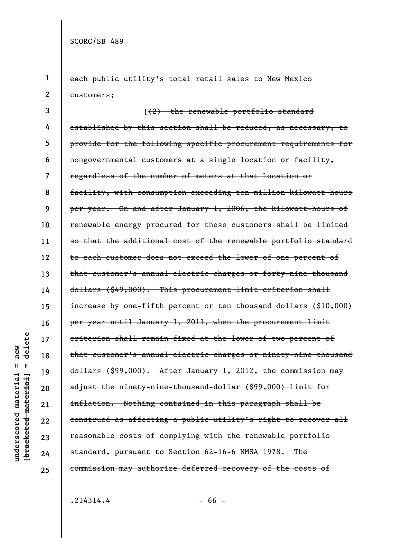```
1 
 2 
 3 
 4 
 5 
 6 
 7 
 8 
 9 
10 
11 
12 
13 
14 
15 
16 
17 
18 
19 
20 
21 
22 
23 
24 
25 
      each public utility's total retail sales to New Mexico
      customers;
                       [(2) the renewable portfolio standard
      established by this section shall be reduced, as necessary, to
      provide for the following specific procurement requirements for
      nongovernmental customers at a single location or facility,
      regardless of the number of meters at that location or
      facility, with consumption exceeding ten million kilowatt-hours
      per year. On and after January 1, 2006, the kilowatt-hours of
      renewable energy procured for these customers shall be limited
      so that the additional cost of the renewable portfolio standard
      to each customer does not exceed the lower of one percent of
      that customer's annual electric charges or forty-nine thousand
      dollars ($49,000). This procurement limit criterion shall
      increase by one-fifth percent or ten thousand dollars ($10,000)
      per year until January 1, 2011, when the procurement limit
      criterion shall remain fixed at the lower of two percent of
      that customer's annual electric charges or ninety-nine thousand
      dollars ($99,000). After January 1, 2012, the commission may
      adjust the ninety-nine-thousand-dollar ($99,000) limit for
      inflation. Nothing contained in this paragraph shall be
      construed as affecting a public utility's right to recover all
      reasonable costs of complying with the renewable portfolio
      standard, pursuant to Section 62-16-6 NMSA 1978. The
      commission may authorize deferred recovery of the costs of
```
**underscored material = new [bracketed material] = delete**

 $anderscored material = new$ 

delete

 $\mathbf{I}$ 

bracketed material]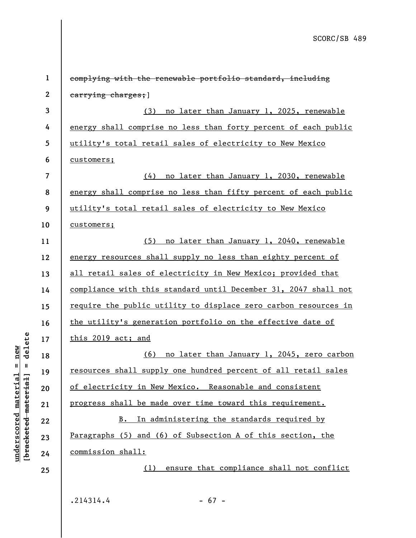| $\mathbf 1$      | complying with the renewable portfolio standard, including      |
|------------------|-----------------------------------------------------------------|
| $\boldsymbol{2}$ | earrying charges; ]                                             |
| 3                | no later than January 1, 2025, renewable<br>(3)                 |
| 4                | energy shall comprise no less than forty percent of each public |
| 5                | utility's total retail sales of electricity to New Mexico       |
| 6                | customers;                                                      |
| $\overline{7}$   | <u>(4) no later than January 1, 2030, renewable</u>             |
| 8                | energy shall comprise no less than fifty percent of each public |
| 9                | utility's total retail sales of electricity to New Mexico       |
| 10               | customers;                                                      |
| 11               | (5) no later than January 1, 2040, renewable                    |
| 12               | energy resources shall supply no less than eighty percent of    |
| 13               | all retail sales of electricity in New Mexico; provided that    |
| 14               | compliance with this standard until December 31, 2047 shall not |
| 15               | require the public utility to displace zero carbon resources in |
| 16               | the utility's generation portfolio on the effective date of     |
| 17               | this 2019 act; and                                              |
| 18               | <u>(6) no later than January 1, 2045, zero carbon</u>           |
| 19               | resources shall supply one hundred percent of all retail sales  |
| 20               | of electricity in New Mexico. Reasonable and consistent         |
| 21               | progress shall be made over time toward this requirement.       |
| 22               | In administering the standards required by<br>B.                |
| 23               | Paragraphs (5) and (6) of Subsection A of this section, the     |
| 24               | commission shall:                                               |
| 25               | ensure that compliance shall not conflict<br>(1)                |
|                  |                                                                 |

 $.214314.4$  - 67 -

**underscored material = new [bracketed material] = delete**

 $[**bracket**et~~eted matcherial~~] = **delete**$  $underscored material = new$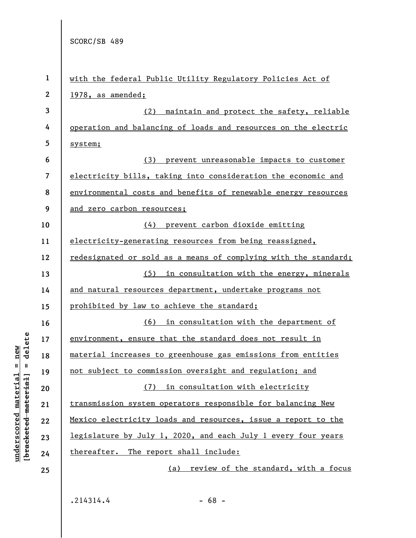| $\mathbf{1}$     | with the federal Public Utility Regulatory Policies Act of           |
|------------------|----------------------------------------------------------------------|
| $\boldsymbol{2}$ | 1978, as amended;                                                    |
| 3                | maintain and protect the safety, reliable<br>(2)                     |
| 4                | operation and balancing of loads and resources on the electric       |
| 5                | system;                                                              |
| 6                | (3) prevent unreasonable impacts to customer                         |
| 7                | electricity bills, taking into consideration the economic and        |
| 8                | environmental costs and benefits of renewable energy resources       |
| 9                | and zero carbon resources;                                           |
| 10               | (4) prevent carbon dioxide emitting                                  |
| 11               | electricity-generating resources from being reassigned,              |
| 12               | redesignated or sold as a means of complying with the standard;      |
| 13               | (5) in consultation with the energy, minerals                        |
| 14               | and natural resources department, undertake programs not             |
| 15               | prohibited by law to achieve the standard;                           |
| 16               | <u>(6) in consultation with the department of</u>                    |
| 17               | environment, ensure that the standard does not result in             |
| 18               | material increases to greenhouse gas emissions from entities         |
| 19               | not subject to commission oversight and regulation; and              |
| 20               | (7) in consultation with electricity                                 |
| 21               | transmission system operators responsible for balancing New          |
| 22               | Mexico electricity loads and resources, issue a report to the        |
| 23               | <u>legislature by July 1, 2020, and each July 1 every four years</u> |
| 24               | thereafter. The report shall include:                                |
| 25               | review of the standard, with a focus<br>(a)                          |
|                  |                                                                      |

**underscored material = new [bracketed material] = delete**

 $[**bracket**et~~eted matcherial~~] = **delete**$  $underscored material = new$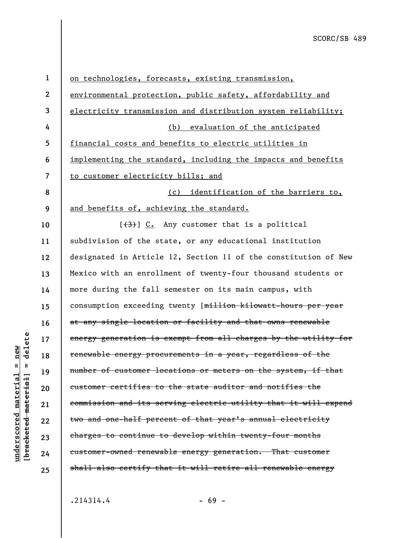| $\mathbf{1}$   | on technologies, forecasts, existing transmission,              |
|----------------|-----------------------------------------------------------------|
| $\mathbf{2}$   | environmental protection, public safety, affordability and      |
| 3              | electricity transmission and distribution system reliability;   |
| 4              | (b) evaluation of the anticipated                               |
| 5              | financial costs and benefits to electric utilities in           |
| 6              | implementing the standard, including the impacts and benefits   |
| $\overline{7}$ | to customer electricity bills; and                              |
| 8              | identification of the barriers to,<br>(c)                       |
| 9              | and benefits of, achieving the standard.                        |
| 10             | $[36, 66]$ [33] C. Any customer that is a political             |
| 11             | subdivision of the state, or any educational institution        |
| 12             | designated in Article 12, Section 11 of the constitution of New |
| 13             | Mexico with an enrollment of twenty-four thousand students or   |
| 14             | more during the fall semester on its main campus, with          |
| 15             | consumption exceeding twenty [million kilowatt-hours per year   |
| 16             | at any single location or facility and that owns renewable      |
| 17             | energy generation is exempt from all charges by the utility for |
| 18             | renewable energy procurements in a year, regardless of the      |
| 19             | number of customer locations or meters on the system, if that   |
| 20             | customer certifies to the state auditor and notifies the        |
| 21             | commission and its serving electric utility that it will expend |
| 22             | two and one-half percent of that year's annual electricity      |
| 23             | charges to continue to develop within twenty-four months        |
| 24             | customer-owned renewable energy generation. That customer       |
| 25             | shall also certify that it will retire all renewable energy     |
|                |                                                                 |

 $.214314.4$  - 69 -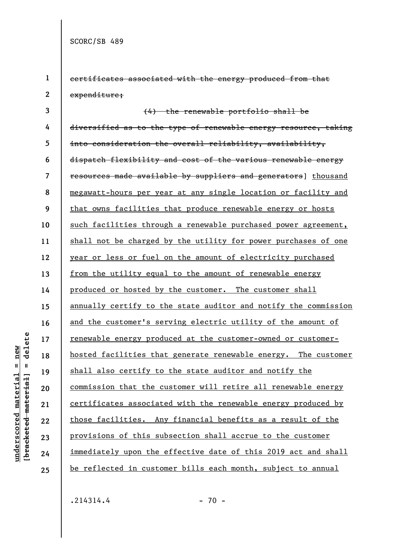**1** 

**2** 

certificates associated with the energy produced from that expenditure;

**3 4 5 6 7 8 9 10 11 12 13 14 15 16 17 18 19 20 21 22 23 24 25**  (4) the renewable portfolio shall be diversified as to the type of renewable energy resource, taking into consideration the overall reliability, availability, dispatch flexibility and cost of the various renewable energy resources made available by suppliers and generators] thousand megawatt-hours per year at any single location or facility and that owns facilities that produce renewable energy or hosts such facilities through a renewable purchased power agreement, shall not be charged by the utility for power purchases of one year or less or fuel on the amount of electricity purchased from the utility equal to the amount of renewable energy produced or hosted by the customer. The customer shall annually certify to the state auditor and notify the commission and the customer's serving electric utility of the amount of renewable energy produced at the customer-owned or customerhosted facilities that generate renewable energy. The customer shall also certify to the state auditor and notify the commission that the customer will retire all renewable energy certificates associated with the renewable energy produced by those facilities. Any financial benefits as a result of the provisions of this subsection shall accrue to the customer immediately upon the effective date of this 2019 act and shall be reflected in customer bills each month, subject to annual

 $.214314.4$  - 70 -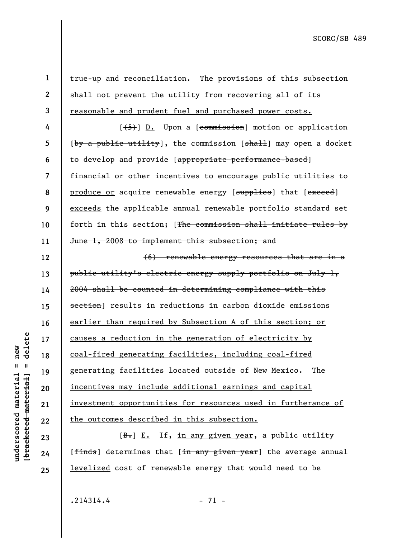delete **[bracketed material] = delete**  $anderscored material = new$ **underscored material = new**  $\mathbf{I}$ bracketed material]

**24** 

**25** 

**1 2 3 4 5 6 7 8 9 10 11 12 13 14 15 16 17 18 19 20 21 22 23**  true-up and reconciliation. The provisions of this subsection shall not prevent the utility from recovering all of its reasonable and prudent fuel and purchased power costs.  $[\frac{1}{5}]$  D. Upon a [commission] motion or application  $[\frac{by a public utility}{, the commission [sha11] may open a docket}]$ to develop and provide [appropriate performance-based] financial or other incentives to encourage public utilities to produce or acquire renewable energy [supplies] that [exceed] exceeds the applicable annual renewable portfolio standard set forth in this section; [The commission shall initiate rules by June 1, 2008 to implement this subsection; and (6) renewable energy resources that are in a public utility's electric energy supply portfolio on July 1, 2004 shall be counted in determining compliance with this section] results in reductions in carbon dioxide emissions earlier than required by Subsection A of this section; or causes a reduction in the generation of electricity by coal-fired generating facilities, including coal-fired generating facilities located outside of New Mexico. The incentives may include additional earnings and capital investment opportunities for resources used in furtherance of the outcomes described in this subsection.  $[B<sub>1</sub>]$  E. If, in any given year, a public utility

[finds] determines that [in any given year] the average annual levelized cost of renewable energy that would need to be

 $.214314.4$  - 71 -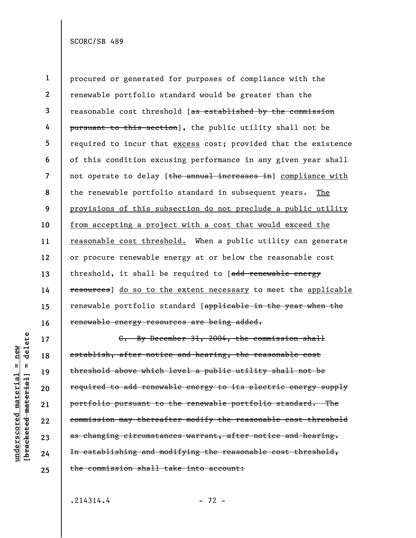**1 2 3 4 5 6 7 8 9 10 11 12 13 14 15 16**  procured or generated for purposes of compliance with the renewable portfolio standard would be greater than the reasonable cost threshold [as established by the commission pursuant to this section], the public utility shall not be required to incur that excess cost; provided that the existence of this condition excusing performance in any given year shall not operate to delay [the annual increases in] compliance with the renewable portfolio standard in subsequent years. The provisions of this subsection do not preclude a public utility from accepting a project with a cost that would exceed the reasonable cost threshold. When a public utility can generate or procure renewable energy at or below the reasonable cost threshold, it shall be required to [add renewable energy resources] do so to the extent necessary to meet the applicable renewable portfolio standard [applicable in the year when the renewable energy resources are being added.

delete **[bracketed material] = delete**  $underscored material = new$ **underscored material = new**  $\mathbf{I}$ bracketed material]

**17** 

**18** 

**19** 

**20** 

**21** 

**22** 

**23** 

**24** 

**25** 

C. By December 31, 2004, the commission shall establish, after notice and hearing, the reasonable cost threshold above which level a public utility shall not be required to add renewable energy to its electric energy supply portfolio pursuant to the renewable portfolio standard. The commission may thereafter modify the reasonable cost threshold as changing circumstances warrant, after notice and hearing. In establishing and modifying the reasonable cost threshold, the commission shall take into account:

 $.214314.4$  - 72 -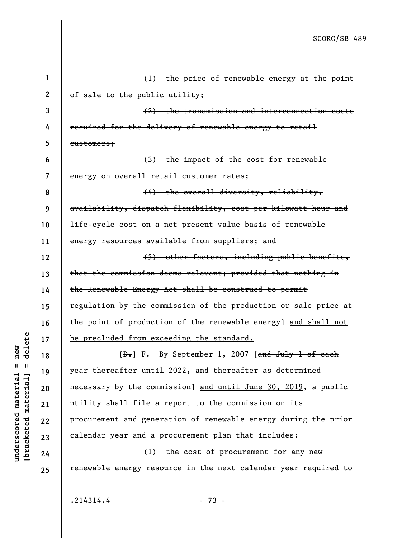| $\mathbf 1$      | (1) the price of renewable energy at the point                       |
|------------------|----------------------------------------------------------------------|
| $\boldsymbol{2}$ | of sale to the public utility;                                       |
| 3                | (2) the transmission and interconnection costs                       |
| 4                | required for the delivery of renewable energy to retail              |
| 5                | customers;                                                           |
| 6                | (3) the impact of the cost for renewable                             |
| 7                | energy on overall retail customer rates;                             |
| 8                | (4) the overall diversity, reliability,                              |
| 9                | availability, dispatch flexibility, cost per kilowatt-hour and       |
| 10               | <del>life-cycle cost on a net present value basis of renewable</del> |
| 11               | energy resources available from suppliers; and                       |
| 12               | (5) other factors, including public benefits,                        |
| 13               | that the commission deems relevant; provided that nothing in         |
| 14               | the Renewable Energy Act shall be construed to permit                |
| 15               | regulation by the commission of the production or sale price at      |
| 16               | the point of production of the renewable energy] and shall not       |
| 17               | be precluded from exceeding the standard.                            |
| 18               | $[\frac{D-1}{2}]$ F. By September 1, 2007 [and July 1 of each        |
| 19               | year thereafter until 2022, and thereafter as determined             |
| 20               | necessary by the commission] and until June 30, 2019, a public       |
| 21               | utility shall file a report to the commission on its                 |
| 22               | procurement and generation of renewable energy during the prior      |
| 23               | calendar year and a procurement plan that includes:                  |
| 24               | (1) the cost of procurement for any new                              |
| 25               | renewable energy resource in the next calendar year required to      |
|                  |                                                                      |

**underscored material = new [bracketed material] = delete**

 $[**bracket**et~~eted matcherial~~] = **delete**$  $underscored material = new$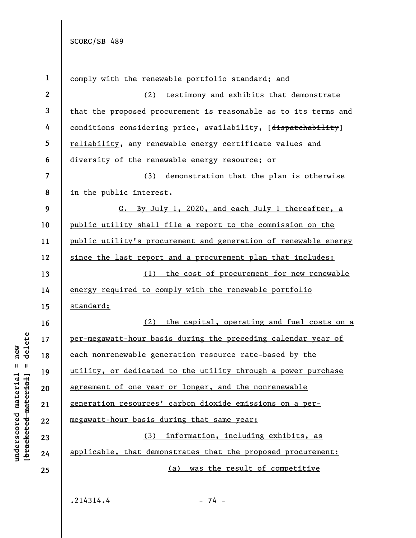| $\mathbf{1}$            | comply with the renewable portfolio standard; and               |
|-------------------------|-----------------------------------------------------------------|
| $\boldsymbol{2}$        | testimony and exhibits that demonstrate<br>(2)                  |
| $\mathbf{3}$            | that the proposed procurement is reasonable as to its terms and |
| 4                       | conditions considering price, availability, [dispatchability]   |
| 5                       | reliability, any renewable energy certificate values and        |
| 6                       | diversity of the renewable energy resource; or                  |
| $\overline{\mathbf{z}}$ | (3)<br>demonstration that the plan is otherwise                 |
| 8                       | in the public interest.                                         |
| 9                       | G. By July 1, 2020, and each July 1 thereafter, a               |
| 10                      | public utility shall file a report to the commission on the     |
| 11                      | public utility's procurement and generation of renewable energy |
| 12                      | since the last report and a procurement plan that includes:     |
| 13                      | (1) the cost of procurement for new renewable                   |
| 14                      | energy required to comply with the renewable portfolio          |
| 15                      | standard;                                                       |
| 16                      | the capital, operating and fuel costs on a<br>(2)               |
| 17                      | per-megawatt-hour basis during the preceding calendar year of   |
| 18                      | each nonrenewable generation resource rate-based by the         |
| 19                      | utility, or dedicated to the utility through a power purchase   |
| 20                      | agreement of one year or longer, and the nonrenewable           |
| 21                      | generation resources' carbon dioxide emissions on a per-        |
| 22                      |                                                                 |
|                         | megawatt-hour basis during that same year;                      |
| 23                      | (3) information, including exhibits, as                         |
| 24                      | applicable, that demonstrates that the proposed procurement:    |
| 25                      | (a) was the result of competitive                               |

**underscored material = new [bracketed material] = delete**

 $[**bracket**et~~eted matcherial~~] = **delete**$  $underscored material = new$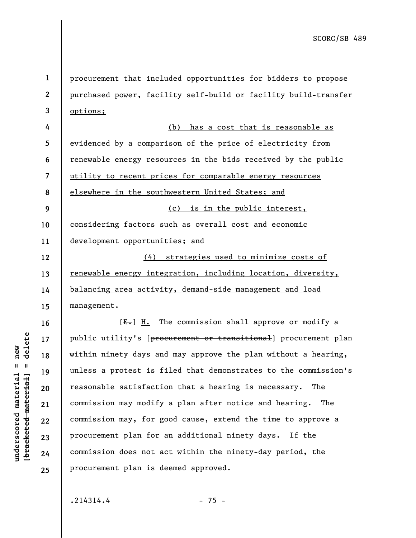**1 2 3 4 5 6 7 8 9 10 11 12 13 14 15 16 17**  procurement that included opportunities for bidders to propose purchased power, facility self-build or facility build-transfer options; (b) has a cost that is reasonable as evidenced by a comparison of the price of electricity from renewable energy resources in the bids received by the public utility to recent prices for comparable energy resources elsewhere in the southwestern United States; and (c) is in the public interest, considering factors such as overall cost and economic development opportunities; and (4) strategies used to minimize costs of renewable energy integration, including location, diversity, balancing area activity, demand-side management and load management.  $[E-]$  H. The commission shall approve or modify a

 $b$ racketed material] = delete **[bracketed material] = delete**  $underscored material = new$ **underscored material = new**

**18** 

**19** 

**20** 

**21** 

**22** 

**23** 

**24** 

**25** 

public utility's [procurement or transitional] procurement plan within ninety days and may approve the plan without a hearing, unless a protest is filed that demonstrates to the commission's reasonable satisfaction that a hearing is necessary. The commission may modify a plan after notice and hearing. The commission may, for good cause, extend the time to approve a procurement plan for an additional ninety days. If the commission does not act within the ninety-day period, the procurement plan is deemed approved.

 $.214314.4$  - 75 -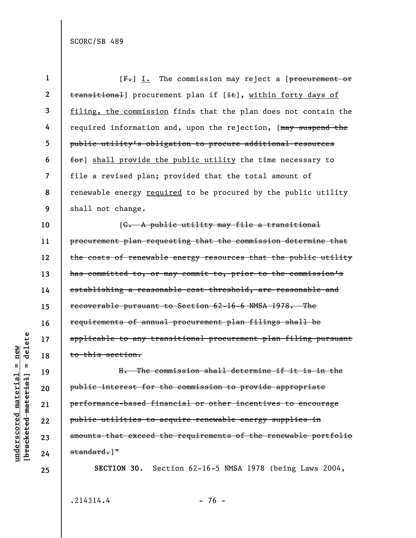| 1            | $[Fz]$ I. The commission may reject a [procurement or           |
|--------------|-----------------------------------------------------------------|
| $\mathbf{2}$ | transitional] procurement plan if [it], within forty days of    |
| 3            | filing, the commission finds that the plan does not contain the |
| 4            | required information and, upon the rejection, [may suspend the  |
| 5            | public utility's obligation to procure additional resources     |
| 6            | for] shall provide the public utility the time necessary to     |
| 7            | file a revised plan; provided that the total amount of          |
| 8            | renewable energy required to be procured by the public utility  |
| 9            | shall not change.                                               |
| 10           | [G. A public utility may file a transitional                    |
| 11           | procurement plan requesting that the commission determine that  |
| 12           | the costs of renewable energy resources that the public utility |
| 13           | has committed to, or may commit to, prior to the commission's   |
| 14           | establishing a reasonable cost threshold, are reasonable and    |
| 15           | recoverable pursuant to Section 62-16-6 NMSA 1978. The          |
| 16           | requirements of annual procurement plan filings shall be        |
| 17           | applicable to any transitional procurement plan filing pursuant |
| 18           | to this section.                                                |
| 19           | H. The commission shall determine if it is in the               |
| 20           | public interest for the commission to provide appropriate       |
| 21           | performance-based financial or other incentives to encourage    |
| 22           | public utilities to acquire renewable energy supplies in        |
| 23           | amounts that exceed the requirements of the renewable portfolio |
| 24           | standard.]"                                                     |
| 25           | SECTION 30. Section 62-16-5 NMSA 1978 (being Laws 2004,         |

 $.214314.4$  - 76 -

 $[**bracketed**-**meterial**] = **delete**$ **[bracketed material] = delete**  $underscored material = new$ **underscored material = new**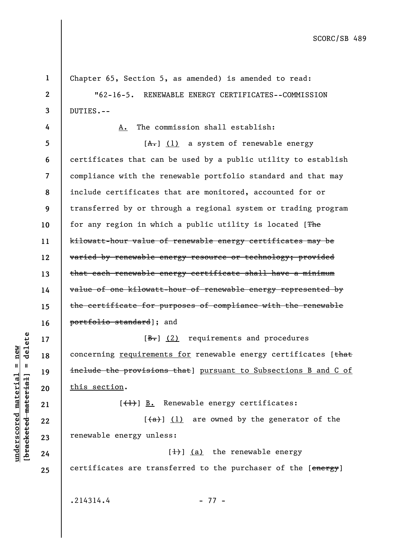**1 2 3 4 5 6 7 8 9 10 11 12 13 14 15 16 17 18 19 20 21 22 23 24 25**  Chapter 65, Section 5, as amended) is amended to read: "62-16-5. RENEWABLE ENERGY CERTIFICATES--COMMISSION DUTIES.-- A. The commission shall establish:  $[A<sub>1</sub>]$  (1) a system of renewable energy certificates that can be used by a public utility to establish compliance with the renewable portfolio standard and that may include certificates that are monitored, accounted for or transferred by or through a regional system or trading program for any region in which a public utility is located [The kilowatt-hour value of renewable energy certificates may be varied by renewable energy resource or technology; provided that each renewable energy certificate shall have a minimum value of one kilowatt-hour of renewable energy represented by the certificate for purposes of compliance with the renewable portfolio standard]; and  $[\frac{B-}{B}]$  (2) requirements and procedures concerning requirements for renewable energy certificates [that include the provisions that] pursuant to Subsections B and C of this section.  $[\frac{1}{1}]$  B. Renewable energy certificates:  $[\frac{a}{a}]$  (1) are owned by the generator of the renewable energy unless:  $[\frac{1}{1}]$  (a) the renewable energy certificates are transferred to the purchaser of the [energy]  $.214314.4$  - 77 -

**underscored material = new [bracketed material] = delete**

 $\frac{1}{2}$  intereted material = delete  $underscored material = new$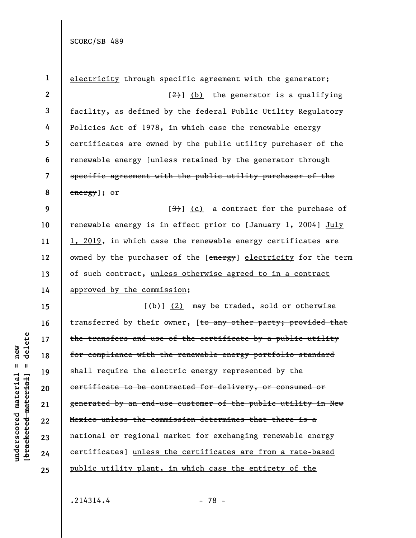**1 2 3 4 5 6 7 8 9 10 11 12 13 14 15 16 17 18 19 20 21 22 23 24 25**  electricity through specific agreement with the generator;  $\left[\frac{2}{2}\right]$  (b) the generator is a qualifying facility, as defined by the federal Public Utility Regulatory Policies Act of 1978, in which case the renewable energy certificates are owned by the public utility purchaser of the renewable energy [unless retained by the generator through specific agreement with the public utility purchaser of the energy]; or  $[3]$  (c) a contract for the purchase of renewable energy is in effect prior to [January 1, 2004] July 1, 2019, in which case the renewable energy certificates are owned by the purchaser of the [energy] electricity for the term of such contract, unless otherwise agreed to in a contract approved by the commission;  $[\frac{1}{b}]$  (2) may be traded, sold or otherwise transferred by their owner, [to any other party; provided that the transfers and use of the certificate by a public utility for compliance with the renewable energy portfolio standard shall require the electric energy represented by the certificate to be contracted for delivery, or consumed or generated by an end-use customer of the public utility in New Mexico unless the commission determines that there is a national or regional market for exchanging renewable energy certificates] unless the certificates are from a rate-based public utility plant, in which case the entirety of the

 $.214314.4$  - 78 -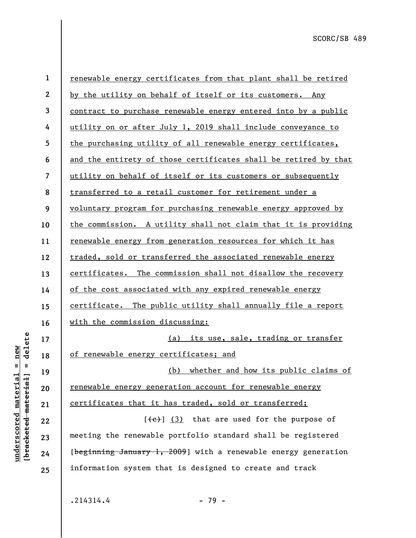| $\mathbf{1}$     | renewable energy certificates from that plant shall be retired  |
|------------------|-----------------------------------------------------------------|
| $\boldsymbol{2}$ | by the utility on behalf of itself or its customers. Any        |
| 3                | contract to purchase renewable energy entered into by a public  |
| 4                | utility on or after July 1, 2019 shall include conveyance to    |
| 5                | the purchasing utility of all renewable energy certificates,    |
| 6                | and the entirety of those certificates shall be retired by that |
| $\overline{7}$   | utility on behalf of itself or its customers or subsequently    |
| 8                | transferred to a retail customer for retirement under a         |
| 9                | voluntary program for purchasing renewable energy approved by   |
| 10               | the commission. A utility shall not claim that it is providing  |
| 11               | renewable energy from generation resources for which it has     |
| 12               | traded, sold or transferred the associated renewable energy     |
| 13               | certificates. The commission shall not disallow the recovery    |
| 14               | of the cost associated with any expired renewable energy        |
| 15               | certificate. The public utility shall annually file a report    |
| 16               | with the commission discussing:                                 |
| 17               | (a) its use, sale, trading or transfer                          |
| 18               | of renewable energy certificates; and                           |
| 19               | (b) whether and how its public claims of                        |
| 20               | renewable energy generation account for renewable energy        |
| 21               | certificates that it has traded, sold or transferred;           |
| 22               | $[\text{(-e)}]$ (3) that are used for the purpose of            |
| 23               | meeting the renewable portfolio standard shall be registered    |
| 24               | [beginning January 1, 2009] with a renewable energy generation  |
| 25               | information system that is designed to create and track         |
|                  |                                                                 |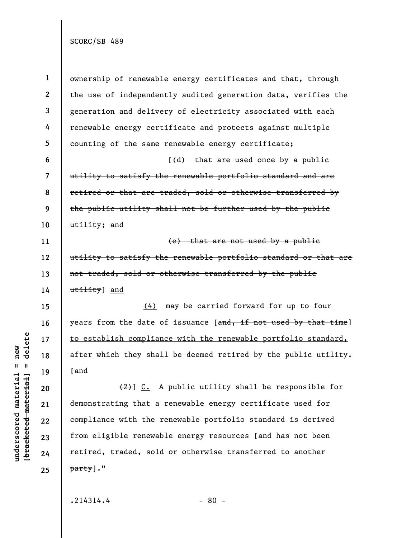**1 2 3 4 5 6 7 8 9 10 11 12 13 14 15 16 17 18 19 20 21 22 23 24 25**  ownership of renewable energy certificates and that, through the use of independently audited generation data, verifies the generation and delivery of electricity associated with each renewable energy certificate and protects against multiple counting of the same renewable energy certificate;  $(d)$  that are used once by a public utility to satisfy the renewable portfolio standard and are retired or that are traded, sold or otherwise transferred by the public utility shall not be further used by the public utility; and (e) that are not used by a public utility to satisfy the renewable portfolio standard or that are not traded, sold or otherwise transferred by the public utility] and (4) may be carried forward for up to four years from the date of issuance [and, if not used by that time] to establish compliance with the renewable portfolio standard, after which they shall be deemed retired by the public utility. [and (2)] C. A public utility shall be responsible for demonstrating that a renewable energy certificate used for compliance with the renewable portfolio standard is derived from eligible renewable energy resources [and has not been retired, traded, sold or otherwise transferred to another party]."

 $.214314.4$  - 80 -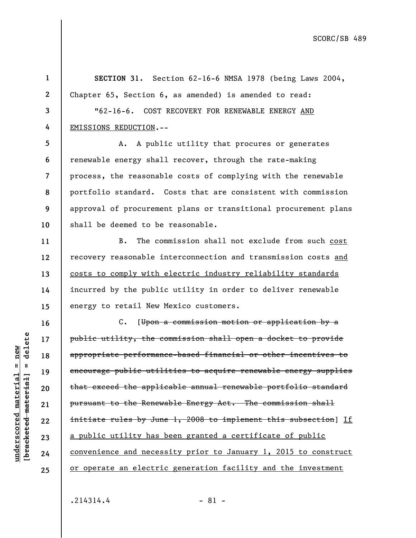**1 2 3 4 5 6 7 8 9 10 11 12 13 14 15 16 17 18 19 20 21 22 23 24 25 SECTION 31.** Section 62-16-6 NMSA 1978 (being Laws 2004, Chapter 65, Section 6, as amended) is amended to read: "62-16-6. COST RECOVERY FOR RENEWABLE ENERGY AND EMISSIONS REDUCTION.-- A. A public utility that procures or generates renewable energy shall recover, through the rate-making process, the reasonable costs of complying with the renewable portfolio standard. Costs that are consistent with commission approval of procurement plans or transitional procurement plans shall be deemed to be reasonable. B. The commission shall not exclude from such cost recovery reasonable interconnection and transmission costs and costs to comply with electric industry reliability standards incurred by the public utility in order to deliver renewable energy to retail New Mexico customers. C. [Upon a commission motion or application by a public utility, the commission shall open a docket to provide appropriate performance-based financial or other incentives to encourage public utilities to acquire renewable energy supplies that exceed the applicable annual renewable portfolio standard pursuant to the Renewable Energy Act. The commission shall initiate rules by June 1, 2008 to implement this subsection] If a public utility has been granted a certificate of public convenience and necessity prior to January 1, 2015 to construct or operate an electric generation facility and the investment  $.214314.4$  - 81 -

**underscored material = new [bracketed material] = delete**

 $underscored material = new$ 

delete

 $\mathbf{I}$ 

bracketed material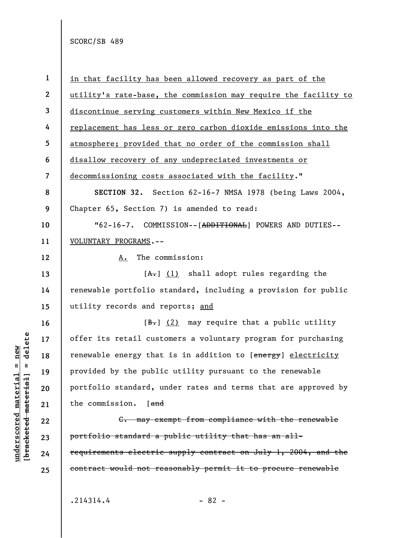**1 2 3 4 5 6 7 8 9 10 11 12 13 14 15 16 17 18 19 20 21 22 23 24 25**  in that facility has been allowed recovery as part of the utility's rate-base, the commission may require the facility to discontinue serving customers within New Mexico if the replacement has less or zero carbon dioxide emissions into the atmosphere; provided that no order of the commission shall disallow recovery of any undepreciated investments or decommissioning costs associated with the facility." **SECTION 32.** Section 62-16-7 NMSA 1978 (being Laws 2004, Chapter 65, Section 7) is amended to read: "62-16-7. COMMISSION--[ADDITIONAL] POWERS AND DUTIES-- VOLUNTARY PROGRAMS.-- A. The commission:  $[A<sub>1</sub>]$  (1) shall adopt rules regarding the renewable portfolio standard, including a provision for public utility records and reports; and  $[\frac{B-}{b}]$  (2) may require that a public utility offer its retail customers a voluntary program for purchasing renewable energy that is in addition to [energy] electricity provided by the public utility pursuant to the renewable portfolio standard, under rates and terms that are approved by the commission. [and C. may exempt from compliance with the renewable portfolio standard a public utility that has an allrequirements electric supply contract on July 1, 2004, and the contract would not reasonably permit it to procure renewable

 $b$ racketed material] = delete **[bracketed material] = delete**  $underscored material = new$ **underscored material = new**

 $.214314.4$  - 82 -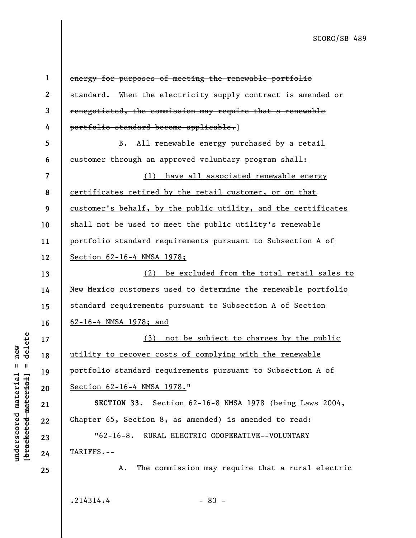| $\mathbf{1}$             | energy for purposes of meeting the renewable portfolio         |
|--------------------------|----------------------------------------------------------------|
| $\mathbf{2}$             | standard. When the electricity supply contract is amended or   |
| 3                        | renegotiated, the commission may require that a renewable      |
| 4                        | portfolio standard become applicable.]                         |
| 5                        | B. All renewable energy purchased by a retail                  |
| 6                        | customer through an approved voluntary program shall:          |
| $\overline{\mathcal{L}}$ | (1) have all associated renewable energy                       |
| 8                        | certificates retired by the retail customer, or on that        |
| 9                        | customer's behalf, by the public utility, and the certificates |
| 10                       | shall not be used to meet the public utility's renewable       |
| 11                       | portfolio standard requirements pursuant to Subsection A of    |
| 12                       | Section 62-16-4 NMSA 1978;                                     |
| 13                       | be excluded from the total retail sales to<br>(2)              |
| 14                       | New Mexico customers used to determine the renewable portfolio |
| 15                       | standard requirements pursuant to Subsection A of Section      |
| 16                       | 62-16-4 NMSA 1978; and                                         |
| 17                       | (3) not be subject to charges by the public                    |
| 18                       | utility to recover costs of complying with the renewable       |
| 19                       | portfolio standard requirements pursuant to Subsection A of    |
| 20                       | Section 62-16-4 NMSA 1978."                                    |
| 21                       | SECTION 33. Section 62-16-8 NMSA 1978 (being Laws 2004,        |
| 22                       | Chapter 65, Section 8, as amended) is amended to read:         |
| 23                       | "62-16-8. RURAL ELECTRIC COOPERATIVE--VOLUNTARY                |
| 24                       | TARIFFS.--                                                     |
| 25                       | The commission may require that a rural electric<br>Α.         |
|                          | .214314.4<br>$-83 -$                                           |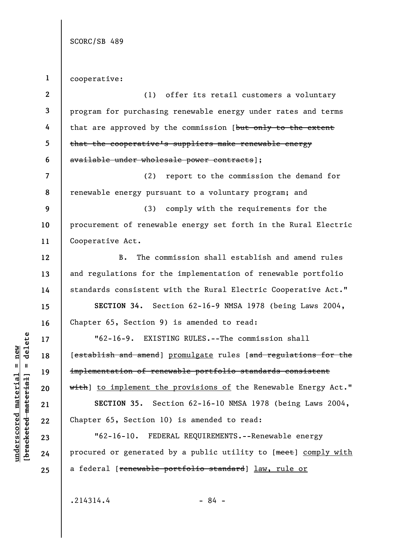**1**  cooperative:

| $\boldsymbol{2}$ | (1) offer its retail customers a voluntary                         |
|------------------|--------------------------------------------------------------------|
| 3                | program for purchasing renewable energy under rates and terms      |
| 4                | that are approved by the commission [but only to the extent        |
| 5                | that the cooperative's suppliers make renewable energy             |
| 6                | available under wholesale power contracts];                        |
| 7                | (2) report to the commission the demand for                        |
| 8                | renewable energy pursuant to a voluntary program; and              |
| 9                | (3) comply with the requirements for the                           |
| 10               | procurement of renewable energy set forth in the Rural Electric    |
| 11               | Cooperative Act.                                                   |
| 12               | The commission shall establish and amend rules<br>B.               |
| 13               | and regulations for the implementation of renewable portfolio      |
| 14               | standards consistent with the Rural Electric Cooperative Act."     |
| 15               | SECTION 34. Section 62-16-9 NMSA 1978 (being Laws 2004,            |
| 16               | Chapter 65, Section 9) is amended to read:                         |
| 17               | "62-16-9. EXISTING RULES.--The commission shall                    |
| 18               | [establish and amend] promulgate rules [and regulations for the    |
| 19               | implementation of renewable portfolio standards consistent         |
| 20               | with] to implement the provisions of the Renewable Energy Act."    |
| 21               | SECTION 35. Section 62-16-10 NMSA 1978 (being Laws 2004,           |
| 22               | Chapter 65, Section 10) is amended to read:                        |
| 23               | "62-16-10. FEDERAL REQUIREMENTS.--Renewable energy                 |
| 24               | procured or generated by a public utility to [meet] comply with    |
| 25               | a federal [ <del>renewable portfolio standard</del> ] law, rule or |
|                  |                                                                    |

 $[bracketeed-material] = delete$ **[bracketed material] = delete**  $underscored material = new$ **underscored material = new**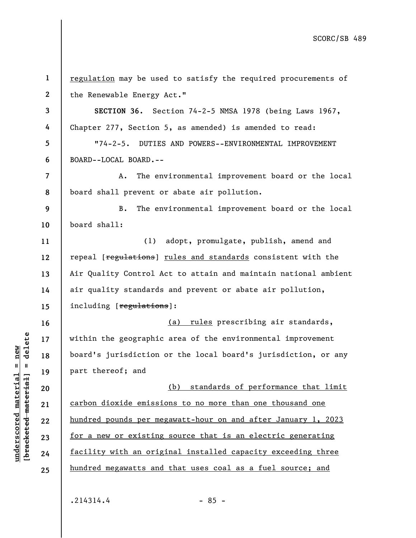| $\mathbf{1}$   | regulation may be used to satisfy the required procurements of  |
|----------------|-----------------------------------------------------------------|
| $\mathbf{2}$   | the Renewable Energy Act."                                      |
| 3              | SECTION 36. Section 74-2-5 NMSA 1978 (being Laws 1967,          |
| 4              | Chapter 277, Section 5, as amended) is amended to read:         |
| 5              | "74-2-5. DUTIES AND POWERS--ENVIRONMENTAL IMPROVEMENT           |
| 6              | BOARD--LOCAL BOARD.--                                           |
| $\overline{7}$ | The environmental improvement board or the local<br>Α.          |
| 8              | board shall prevent or abate air pollution.                     |
| 9              | The environmental improvement board or the local<br><b>B.</b>   |
| 10             | board shall:                                                    |
| 11             | (1) adopt, promulgate, publish, amend and                       |
| 12             | repeal [regulations] rules and standards consistent with the    |
| 13             | Air Quality Control Act to attain and maintain national ambient |
| 14             | air quality standards and prevent or abate air pollution,       |
| 15             | including [regulations]:                                        |
| 16             | (a) rules prescribing air standards,                            |
| 17             | within the geographic area of the environmental improvement     |
| 18             | board's jurisdiction or the local board's jurisdiction, or any  |
| 19             | part thereof; and                                               |
| 20             | (b) standards of performance that limit                         |
| 21             | carbon dioxide emissions to no more than one thousand one       |
| 22             | hundred pounds per megawatt-hour on and after January 1, 2023   |
| 23             | for a new or existing source that is an electric generating     |
| 24             | facility with an original installed capacity exceeding three    |
| 25             | hundred megawatts and that uses coal as a fuel source; and      |
|                |                                                                 |
|                |                                                                 |

 $.214314.4$  - 85 -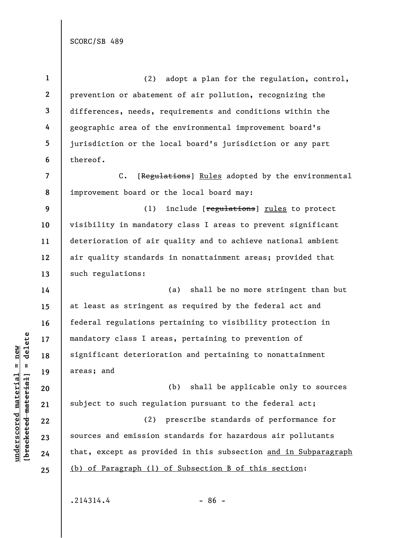**1 2 3 4 5 6 7 8 9 10 11 12 13 14 15 16 17 18 19 20 21 22 23 24 25**  (2) adopt a plan for the regulation, control, prevention or abatement of air pollution, recognizing the differences, needs, requirements and conditions within the geographic area of the environmental improvement board's jurisdiction or the local board's jurisdiction or any part thereof. C. [Regulations] Rules adopted by the environmental improvement board or the local board may: (1) include [regulations] rules to protect visibility in mandatory class I areas to prevent significant deterioration of air quality and to achieve national ambient air quality standards in nonattainment areas; provided that such regulations: (a) shall be no more stringent than but at least as stringent as required by the federal act and federal regulations pertaining to visibility protection in mandatory class I areas, pertaining to prevention of significant deterioration and pertaining to nonattainment areas; and (b) shall be applicable only to sources subject to such regulation pursuant to the federal act; (2) prescribe standards of performance for sources and emission standards for hazardous air pollutants that, except as provided in this subsection and in Subparagraph (b) of Paragraph (1) of Subsection B of this section:

 $.214314.4$  - 86 -

 $b$ racketed material] = delete **[bracketed material] = delete**

**underscored material = new**

 $underscored material = new$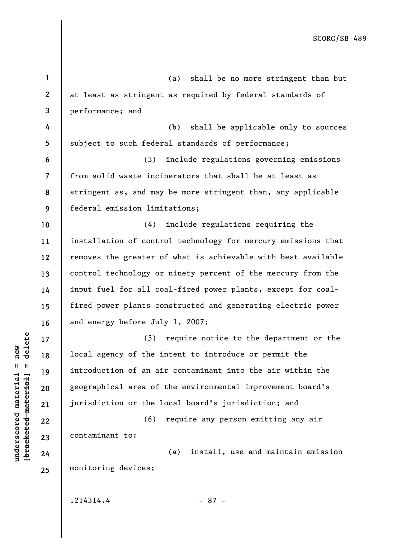| $\mathbf{1}$             | shall be no more stringent than but<br>(a)                    |
|--------------------------|---------------------------------------------------------------|
| $\mathbf{2}$             | at least as stringent as required by federal standards of     |
| 3                        | performance; and                                              |
| 4                        | shall be applicable only to sources<br>(b)                    |
| 5                        | subject to such federal standards of performance;             |
| 6                        | include regulations governing emissions<br>(3)                |
| $\overline{\mathcal{L}}$ | from solid waste incinerators that shall be at least as       |
| 8                        | stringent as, and may be more stringent than, any applicable  |
| 9                        | federal emission limitations;                                 |
| 10                       | (4)<br>include regulations requiring the                      |
| 11                       | installation of control technology for mercury emissions that |
| 12                       | removes the greater of what is achievable with best available |
| 13                       | control technology or ninety percent of the mercury from the  |
| 14                       | input fuel for all coal-fired power plants, except for coal-  |
| 15                       | fired power plants constructed and generating electric power  |
| 16                       | and energy before July 1, 2007;                               |
| 17                       | (5)<br>require notice to the department or the                |
| 18                       | local agency of the intent to introduce or permit the         |
| 19                       | introduction of an air contaminant into the air within the    |
| 20                       | geographical area of the environmental improvement board's    |
| 21                       | jurisdiction or the local board's jurisdiction; and           |
| 22                       | (6)<br>require any person emitting any air                    |
| 23                       | contaminant to:                                               |
| 24                       | (a)<br>install, use and maintain emission                     |
| 25                       | monitoring devices;                                           |
|                          |                                                               |
|                          | .214314.4<br>$-87 -$                                          |

 $[bracketeed-materiat] = delete$ **[bracketed material] = delete**  $underscored material = new$ **underscored material = new**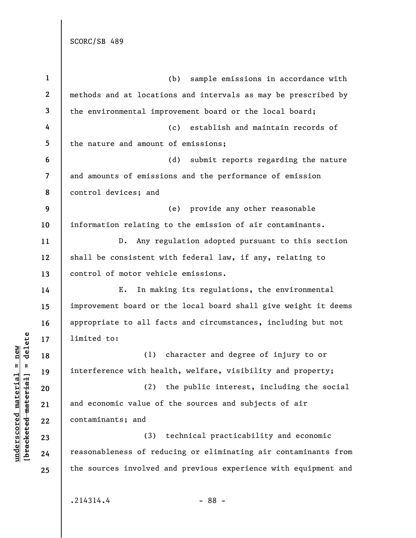**1 2 3 4 5 6 7 8 9 10 11 12 13 14 15 16 17 18 19 20 21 22 23 24 25**  (b) sample emissions in accordance with methods and at locations and intervals as may be prescribed by the environmental improvement board or the local board; (c) establish and maintain records of the nature and amount of emissions; (d) submit reports regarding the nature and amounts of emissions and the performance of emission control devices; and (e) provide any other reasonable information relating to the emission of air contaminants. D. Any regulation adopted pursuant to this section shall be consistent with federal law, if any, relating to control of motor vehicle emissions. E. In making its regulations, the environmental improvement board or the local board shall give weight it deems appropriate to all facts and circumstances, including but not limited to: (1) character and degree of injury to or interference with health, welfare, visibility and property; (2) the public interest, including the social and economic value of the sources and subjects of air contaminants; and (3) technical practicability and economic reasonableness of reducing or eliminating air contaminants from the sources involved and previous experience with equipment and

## $b$ racketed material] = delete **[bracketed material] = delete**  $underscored material = new$ **underscored material = new**

 $.214314.4$  - 88 -